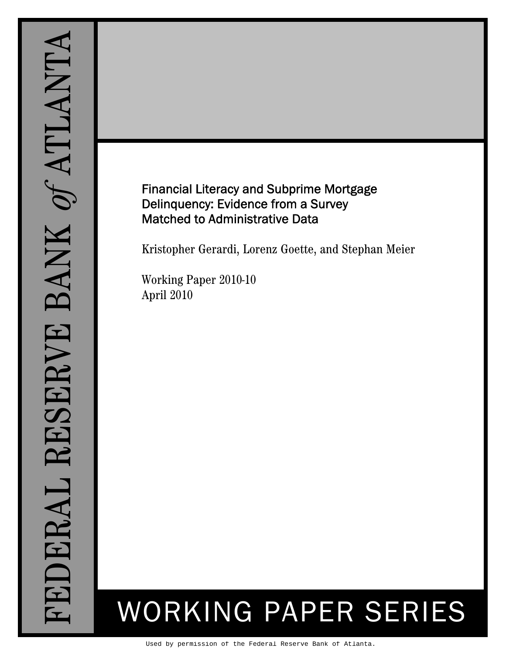## Financial Literacy and Subprime Mortgage Delinquency: Evidence from a Survey Matched to Administrative Data

Kristopher Gerardi, Lorenz Goette, and Stephan Meier

Working Paper 2010-10 April 2010

# WORKING PAPER SERIES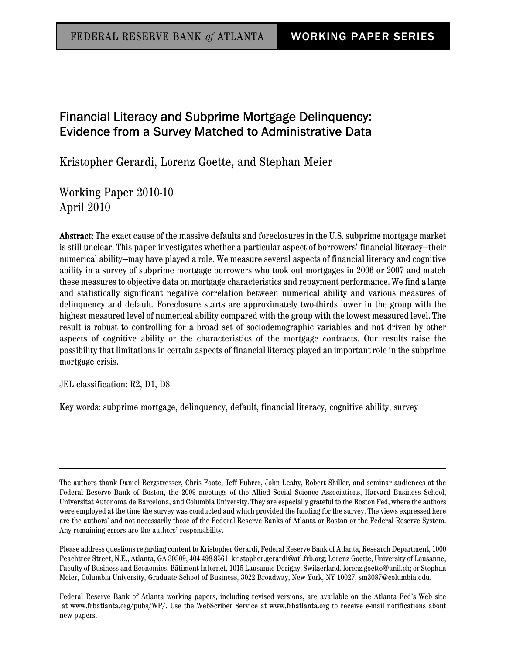## Financial Literacy and Subprime Mortgage Delinquency: Evidence from a Survey Matched to Administrative Data

Kristopher Gerardi, Lorenz Goette, and Stephan Meier

Working Paper 2010-10 April 2010

Abstract: The exact cause of the massive defaults and foreclosures in the U.S. subprime mortgage market is still unclear. This paper investigates whether a particular aspect of borrowers' financial literacy—their numerical ability—may have played a role. We measure several aspects of financial literacy and cognitive ability in a survey of subprime mortgage borrowers who took out mortgages in 2006 or 2007 and match these measures to objective data on mortgage characteristics and repayment performance. We find a large and statistically significant negative correlation between numerical ability and various measures of delinquency and default. Foreclosure starts are approximately two-thirds lower in the group with the highest measured level of numerical ability compared with the group with the lowest measured level. The result is robust to controlling for a broad set of sociodemographic variables and not driven by other aspects of cognitive ability or the characteristics of the mortgage contracts. Our results raise the possibility that limitations in certain aspects of financial literacy played an important role in the subprime mortgage crisis.

JEL classification: R2, D1, D8

Key words: subprime mortgage, delinquency, default, financial literacy, cognitive ability, survey

The authors thank Daniel Bergstresser, Chris Foote, Jeff Fuhrer, John Leahy, Robert Shiller, and seminar audiences at the Federal Reserve Bank of Boston, the 2009 meetings of the Allied Social Science Associations, Harvard Business School, Universitat Autonoma de Barcelona, and Columbia University. They are especially grateful to the Boston Fed, where the authors were employed at the time the survey was conducted and which provided the funding for the survey. The views expressed here are the authors' and not necessarily those of the Federal Reserve Banks of Atlanta or Boston or the Federal Reserve System. Any remaining errors are the authors' responsibility.

Please address questions regarding content to Kristopher Gerardi, Federal Reserve Bank of Atlanta, Research Department, 1000 Peachtree Street, N.E., Atlanta, GA 30309, 404-498-8561, kristopher.gerardi@atl.frb.org; Lorenz Goette, University of Lausanne, Faculty of Business and Economics, Bâtiment Internef, 1015 Lausanne-Dorigny, Switzerland, lorenz.goette@unil.ch; or Stephan Meier, Columbia University, Graduate School of Business, 3022 Broadway, New York, NY 10027, sm3087@columbia.edu.

Federal Reserve Bank of Atlanta working papers, including revised versions, are available on the Atlanta Fed's Web site at www.frbatlanta.org/pubs/WP/. Use the WebScriber Service at www.frbatlanta.org to receive e-mail notifications about new papers.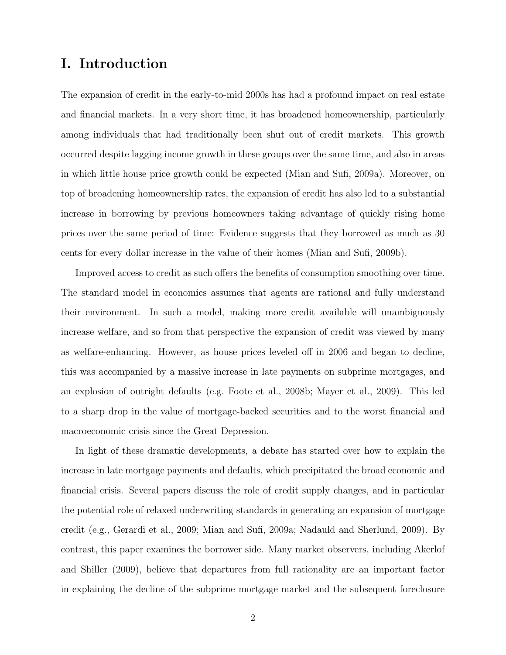## I. Introduction

The expansion of credit in the early-to-mid 2000s has had a profound impact on real estate and financial markets. In a very short time, it has broadened homeownership, particularly among individuals that had traditionally been shut out of credit markets. This growth occurred despite lagging income growth in these groups over the same time, and also in areas in which little house price growth could be expected (Mian and Sufi, 2009a). Moreover, on top of broadening homeownership rates, the expansion of credit has also led to a substantial increase in borrowing by previous homeowners taking advantage of quickly rising home prices over the same period of time: Evidence suggests that they borrowed as much as 30 cents for every dollar increase in the value of their homes (Mian and Sufi, 2009b).

Improved access to credit as such offers the benefits of consumption smoothing over time. The standard model in economics assumes that agents are rational and fully understand their environment. In such a model, making more credit available will unambiguously increase welfare, and so from that perspective the expansion of credit was viewed by many as welfare-enhancing. However, as house prices leveled off in 2006 and began to decline, this was accompanied by a massive increase in late payments on subprime mortgages, and an explosion of outright defaults (e.g. Foote et al., 2008b; Mayer et al., 2009). This led to a sharp drop in the value of mortgage-backed securities and to the worst financial and macroeconomic crisis since the Great Depression.

In light of these dramatic developments, a debate has started over how to explain the increase in late mortgage payments and defaults, which precipitated the broad economic and financial crisis. Several papers discuss the role of credit supply changes, and in particular the potential role of relaxed underwriting standards in generating an expansion of mortgage credit (e.g., Gerardi et al., 2009; Mian and Sufi, 2009a; Nadauld and Sherlund, 2009). By contrast, this paper examines the borrower side. Many market observers, including Akerlof and Shiller (2009), believe that departures from full rationality are an important factor in explaining the decline of the subprime mortgage market and the subsequent foreclosure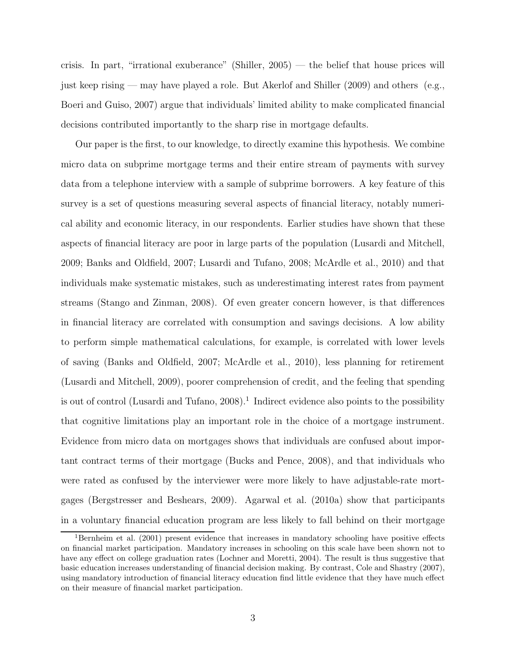crisis. In part, "irrational exuberance" (Shiller, 2005) — the belief that house prices will just keep rising — may have played a role. But Akerlof and Shiller (2009) and others (e.g., Boeri and Guiso, 2007) argue that individuals' limited ability to make complicated financial decisions contributed importantly to the sharp rise in mortgage defaults.

Our paper is the first, to our knowledge, to directly examine this hypothesis. We combine micro data on subprime mortgage terms and their entire stream of payments with survey data from a telephone interview with a sample of subprime borrowers. A key feature of this survey is a set of questions measuring several aspects of financial literacy, notably numerical ability and economic literacy, in our respondents. Earlier studies have shown that these aspects of financial literacy are poor in large parts of the population (Lusardi and Mitchell, 2009; Banks and Oldfield, 2007; Lusardi and Tufano, 2008; McArdle et al., 2010) and that individuals make systematic mistakes, such as underestimating interest rates from payment streams (Stango and Zinman, 2008). Of even greater concern however, is that differences in financial literacy are correlated with consumption and savings decisions. A low ability to perform simple mathematical calculations, for example, is correlated with lower levels of saving (Banks and Oldfield, 2007; McArdle et al., 2010), less planning for retirement (Lusardi and Mitchell, 2009), poorer comprehension of credit, and the feeling that spending is out of control (Lusardi and Tufano, 2008).<sup>1</sup> Indirect evidence also points to the possibility that cognitive limitations play an important role in the choice of a mortgage instrument. Evidence from micro data on mortgages shows that individuals are confused about important contract terms of their mortgage (Bucks and Pence, 2008), and that individuals who were rated as confused by the interviewer were more likely to have adjustable-rate mortgages (Bergstresser and Beshears, 2009). Agarwal et al. (2010a) show that participants in a voluntary financial education program are less likely to fall behind on their mortgage

<sup>&</sup>lt;sup>1</sup>Bernheim et al. (2001) present evidence that increases in mandatory schooling have positive effects on financial market participation. Mandatory increases in schooling on this scale have been shown not to have any effect on college graduation rates (Lochner and Moretti, 2004). The result is thus suggestive that basic education increases understanding of financial decision making. By contrast, Cole and Shastry (2007), using mandatory introduction of financial literacy education find little evidence that they have much effect on their measure of financial market participation.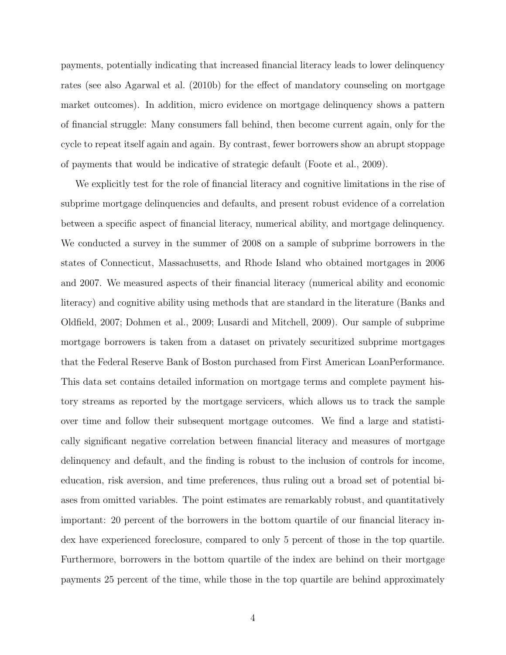payments, potentially indicating that increased financial literacy leads to lower delinquency rates (see also Agarwal et al. (2010b) for the effect of mandatory counseling on mortgage market outcomes). In addition, micro evidence on mortgage delinquency shows a pattern of financial struggle: Many consumers fall behind, then become current again, only for the cycle to repeat itself again and again. By contrast, fewer borrowers show an abrupt stoppage of payments that would be indicative of strategic default (Foote et al., 2009).

We explicitly test for the role of financial literacy and cognitive limitations in the rise of subprime mortgage delinquencies and defaults, and present robust evidence of a correlation between a specific aspect of financial literacy, numerical ability, and mortgage delinquency. We conducted a survey in the summer of 2008 on a sample of subprime borrowers in the states of Connecticut, Massachusetts, and Rhode Island who obtained mortgages in 2006 and 2007. We measured aspects of their financial literacy (numerical ability and economic literacy) and cognitive ability using methods that are standard in the literature (Banks and Oldfield, 2007; Dohmen et al., 2009; Lusardi and Mitchell, 2009). Our sample of subprime mortgage borrowers is taken from a dataset on privately securitized subprime mortgages that the Federal Reserve Bank of Boston purchased from First American LoanPerformance. This data set contains detailed information on mortgage terms and complete payment history streams as reported by the mortgage servicers, which allows us to track the sample over time and follow their subsequent mortgage outcomes. We find a large and statistically significant negative correlation between financial literacy and measures of mortgage delinquency and default, and the finding is robust to the inclusion of controls for income, education, risk aversion, and time preferences, thus ruling out a broad set of potential biases from omitted variables. The point estimates are remarkably robust, and quantitatively important: 20 percent of the borrowers in the bottom quartile of our financial literacy index have experienced foreclosure, compared to only 5 percent of those in the top quartile. Furthermore, borrowers in the bottom quartile of the index are behind on their mortgage payments 25 percent of the time, while those in the top quartile are behind approximately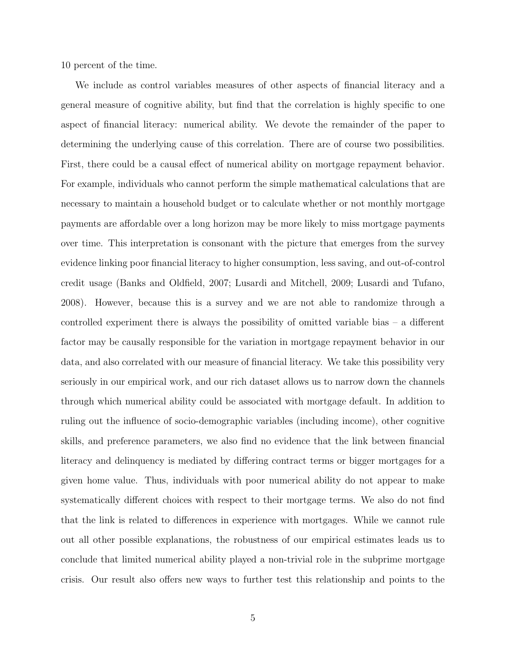10 percent of the time.

We include as control variables measures of other aspects of financial literacy and a general measure of cognitive ability, but find that the correlation is highly specific to one aspect of financial literacy: numerical ability. We devote the remainder of the paper to determining the underlying cause of this correlation. There are of course two possibilities. First, there could be a causal effect of numerical ability on mortgage repayment behavior. For example, individuals who cannot perform the simple mathematical calculations that are necessary to maintain a household budget or to calculate whether or not monthly mortgage payments are affordable over a long horizon may be more likely to miss mortgage payments over time. This interpretation is consonant with the picture that emerges from the survey evidence linking poor financial literacy to higher consumption, less saving, and out-of-control credit usage (Banks and Oldfield, 2007; Lusardi and Mitchell, 2009; Lusardi and Tufano, 2008). However, because this is a survey and we are not able to randomize through a controlled experiment there is always the possibility of omitted variable bias – a different factor may be causally responsible for the variation in mortgage repayment behavior in our data, and also correlated with our measure of financial literacy. We take this possibility very seriously in our empirical work, and our rich dataset allows us to narrow down the channels through which numerical ability could be associated with mortgage default. In addition to ruling out the influence of socio-demographic variables (including income), other cognitive skills, and preference parameters, we also find no evidence that the link between financial literacy and delinquency is mediated by differing contract terms or bigger mortgages for a given home value. Thus, individuals with poor numerical ability do not appear to make systematically different choices with respect to their mortgage terms. We also do not find that the link is related to differences in experience with mortgages. While we cannot rule out all other possible explanations, the robustness of our empirical estimates leads us to conclude that limited numerical ability played a non-trivial role in the subprime mortgage crisis. Our result also offers new ways to further test this relationship and points to the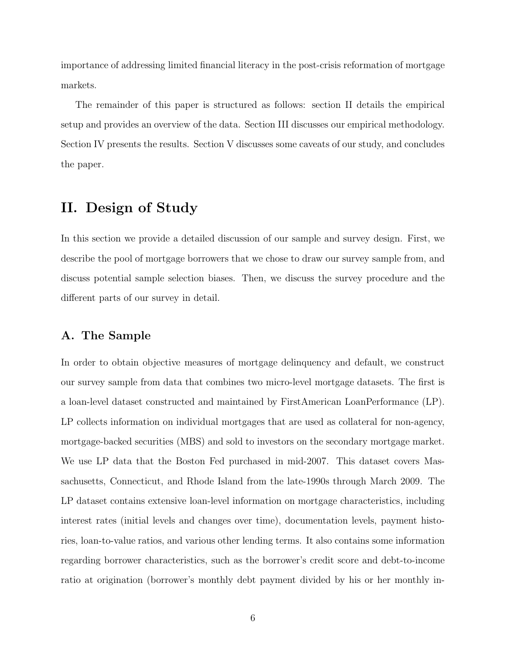importance of addressing limited financial literacy in the post-crisis reformation of mortgage markets.

The remainder of this paper is structured as follows: section II details the empirical setup and provides an overview of the data. Section III discusses our empirical methodology. Section IV presents the results. Section V discusses some caveats of our study, and concludes the paper.

## II. Design of Study

In this section we provide a detailed discussion of our sample and survey design. First, we describe the pool of mortgage borrowers that we chose to draw our survey sample from, and discuss potential sample selection biases. Then, we discuss the survey procedure and the different parts of our survey in detail.

## A. The Sample

In order to obtain objective measures of mortgage delinquency and default, we construct our survey sample from data that combines two micro-level mortgage datasets. The first is a loan-level dataset constructed and maintained by FirstAmerican LoanPerformance (LP). LP collects information on individual mortgages that are used as collateral for non-agency, mortgage-backed securities (MBS) and sold to investors on the secondary mortgage market. We use LP data that the Boston Fed purchased in mid-2007. This dataset covers Massachusetts, Connecticut, and Rhode Island from the late-1990s through March 2009. The LP dataset contains extensive loan-level information on mortgage characteristics, including interest rates (initial levels and changes over time), documentation levels, payment histories, loan-to-value ratios, and various other lending terms. It also contains some information regarding borrower characteristics, such as the borrower's credit score and debt-to-income ratio at origination (borrower's monthly debt payment divided by his or her monthly in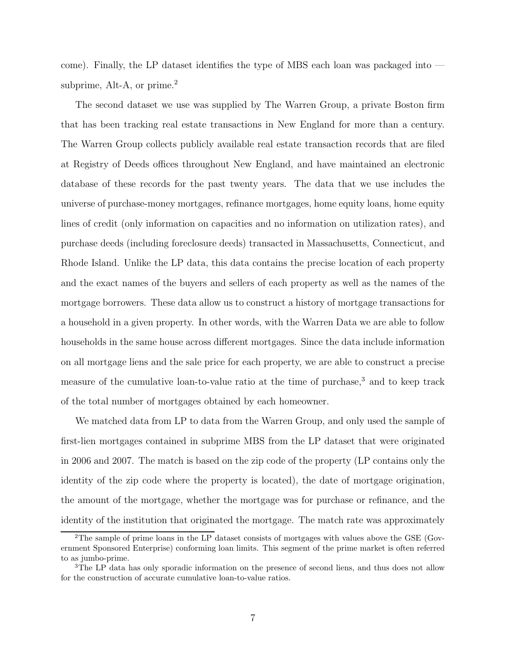come). Finally, the LP dataset identifies the type of MBS each loan was packaged into subprime, Alt-A, or prime. $^{2}$ 

The second dataset we use was supplied by The Warren Group, a private Boston firm that has been tracking real estate transactions in New England for more than a century. The Warren Group collects publicly available real estate transaction records that are filed at Registry of Deeds offices throughout New England, and have maintained an electronic database of these records for the past twenty years. The data that we use includes the universe of purchase-money mortgages, refinance mortgages, home equity loans, home equity lines of credit (only information on capacities and no information on utilization rates), and purchase deeds (including foreclosure deeds) transacted in Massachusetts, Connecticut, and Rhode Island. Unlike the LP data, this data contains the precise location of each property and the exact names of the buyers and sellers of each property as well as the names of the mortgage borrowers. These data allow us to construct a history of mortgage transactions for a household in a given property. In other words, with the Warren Data we are able to follow households in the same house across different mortgages. Since the data include information on all mortgage liens and the sale price for each property, we are able to construct a precise measure of the cumulative loan-to-value ratio at the time of purchase,<sup>3</sup> and to keep track of the total number of mortgages obtained by each homeowner.

We matched data from LP to data from the Warren Group, and only used the sample of first-lien mortgages contained in subprime MBS from the LP dataset that were originated in 2006 and 2007. The match is based on the zip code of the property (LP contains only the identity of the zip code where the property is located), the date of mortgage origination, the amount of the mortgage, whether the mortgage was for purchase or refinance, and the identity of the institution that originated the mortgage. The match rate was approximately

<sup>2</sup>The sample of prime loans in the LP dataset consists of mortgages with values above the GSE (Government Sponsored Enterprise) conforming loan limits. This segment of the prime market is often referred to as jumbo-prime.

<sup>&</sup>lt;sup>3</sup>The LP data has only sporadic information on the presence of second liens, and thus does not allow for the construction of accurate cumulative loan-to-value ratios.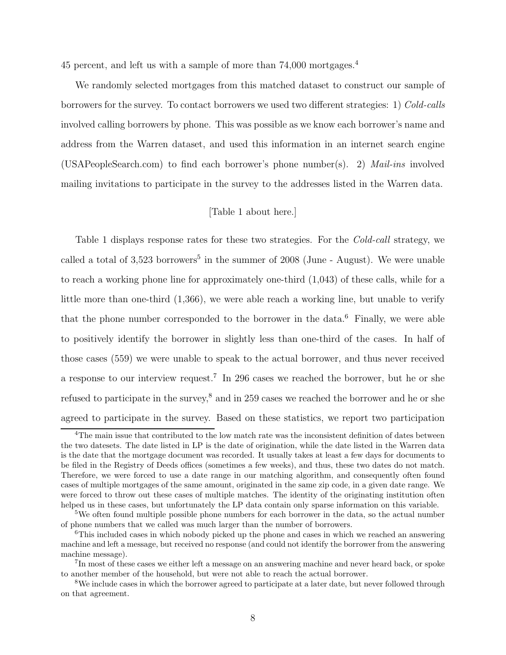45 percent, and left us with a sample of more than 74,000 mortgages.<sup>4</sup>

We randomly selected mortgages from this matched dataset to construct our sample of borrowers for the survey. To contact borrowers we used two different strategies: 1) *Cold-calls* involved calling borrowers by phone. This was possible as we know each borrower's name and address from the Warren dataset, and used this information in an internet search engine (USAPeopleSearch.com) to find each borrower's phone number(s). 2) *Mail-ins* involved mailing invitations to participate in the survey to the addresses listed in the Warren data.

#### [Table 1 about here.]

Table 1 displays response rates for these two strategies. For the *Cold-call* strategy, we called a total of  $3,523$  borrowers<sup>5</sup> in the summer of  $2008$  (June - August). We were unable to reach a working phone line for approximately one-third (1,043) of these calls, while for a little more than one-third (1,366), we were able reach a working line, but unable to verify that the phone number corresponded to the borrower in the data.<sup>6</sup> Finally, we were able to positively identify the borrower in slightly less than one-third of the cases. In half of those cases (559) we were unable to speak to the actual borrower, and thus never received a response to our interview request.<sup>7</sup> In 296 cases we reached the borrower, but he or she refused to participate in the survey,<sup>8</sup> and in 259 cases we reached the borrower and he or she agreed to participate in the survey. Based on these statistics, we report two participation

<sup>&</sup>lt;sup>4</sup>The main issue that contributed to the low match rate was the inconsistent definition of dates between the two datesets. The date listed in LP is the date of origination, while the date listed in the Warren data is the date that the mortgage document was recorded. It usually takes at least a few days for documents to be filed in the Registry of Deeds offices (sometimes a few weeks), and thus, these two dates do not match. Therefore, we were forced to use a date range in our matching algorithm, and consequently often found cases of multiple mortgages of the same amount, originated in the same zip code, in a given date range. We were forced to throw out these cases of multiple matches. The identity of the originating institution often helped us in these cases, but unfortunately the LP data contain only sparse information on this variable.

<sup>&</sup>lt;sup>5</sup>We often found multiple possible phone numbers for each borrower in the data, so the actual number of phone numbers that we called was much larger than the number of borrowers.

<sup>&</sup>lt;sup>6</sup>This included cases in which nobody picked up the phone and cases in which we reached an answering machine and left a message, but received no response (and could not identify the borrower from the answering machine message).

<sup>&</sup>lt;sup>7</sup>In most of these cases we either left a message on an answering machine and never heard back, or spoke to another member of the household, but were not able to reach the actual borrower.

<sup>&</sup>lt;sup>8</sup>We include cases in which the borrower agreed to participate at a later date, but never followed through on that agreement.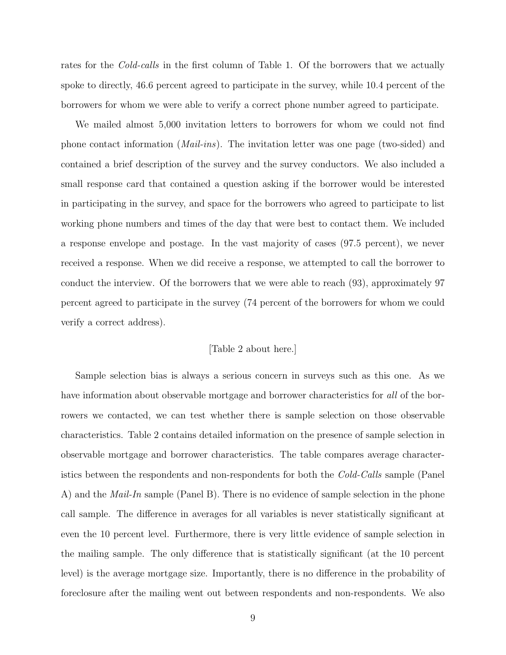rates for the *Cold-calls* in the first column of Table 1. Of the borrowers that we actually spoke to directly, 46.6 percent agreed to participate in the survey, while 10.4 percent of the borrowers for whom we were able to verify a correct phone number agreed to participate.

We mailed almost 5,000 invitation letters to borrowers for whom we could not find phone contact information (*Mail-ins*). The invitation letter was one page (two-sided) and contained a brief description of the survey and the survey conductors. We also included a small response card that contained a question asking if the borrower would be interested in participating in the survey, and space for the borrowers who agreed to participate to list working phone numbers and times of the day that were best to contact them. We included a response envelope and postage. In the vast majority of cases (97.5 percent), we never received a response. When we did receive a response, we attempted to call the borrower to conduct the interview. Of the borrowers that we were able to reach (93), approximately 97 percent agreed to participate in the survey (74 percent of the borrowers for whom we could verify a correct address).

#### [Table 2 about here.]

Sample selection bias is always a serious concern in surveys such as this one. As we have information about observable mortgage and borrower characteristics for *all* of the borrowers we contacted, we can test whether there is sample selection on those observable characteristics. Table 2 contains detailed information on the presence of sample selection in observable mortgage and borrower characteristics. The table compares average characteristics between the respondents and non-respondents for both the *Cold-Calls* sample (Panel A) and the *Mail-In* sample (Panel B). There is no evidence of sample selection in the phone call sample. The difference in averages for all variables is never statistically significant at even the 10 percent level. Furthermore, there is very little evidence of sample selection in the mailing sample. The only difference that is statistically significant (at the 10 percent level) is the average mortgage size. Importantly, there is no difference in the probability of foreclosure after the mailing went out between respondents and non-respondents. We also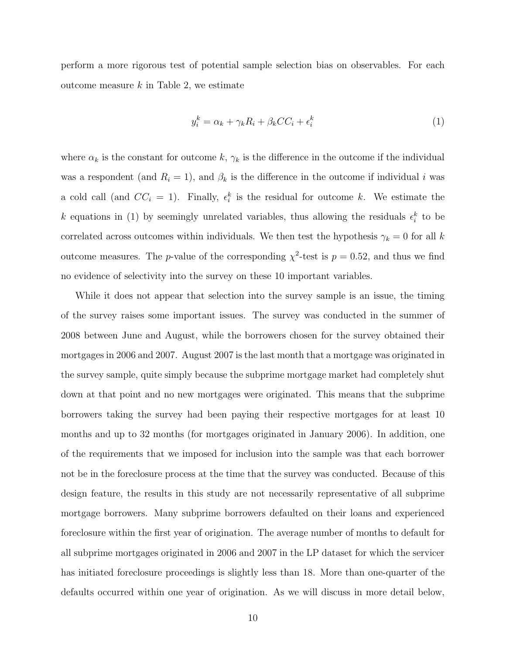perform a more rigorous test of potential sample selection bias on observables. For each outcome measure  $k$  in Table 2, we estimate

$$
y_i^k = \alpha_k + \gamma_k R_i + \beta_k CC_i + \epsilon_i^k \tag{1}
$$

where  $\alpha_k$  is the constant for outcome k,  $\gamma_k$  is the difference in the outcome if the individual was a respondent (and  $R_i = 1$ ), and  $\beta_k$  is the difference in the outcome if individual i was a cold call (and  $CC_i = 1$ ). Finally,  $\epsilon_i^k$  is the residual for outcome k. We estimate the k equations in (1) by seemingly unrelated variables, thus allowing the residuals  $\epsilon_i^k$  to be correlated across outcomes within individuals. We then test the hypothesis  $\gamma_k = 0$  for all k outcome measures. The *p*-value of the corresponding  $\chi^2$ -test is  $p = 0.52$ , and thus we find no evidence of selectivity into the survey on these 10 important variables.

While it does not appear that selection into the survey sample is an issue, the timing of the survey raises some important issues. The survey was conducted in the summer of 2008 between June and August, while the borrowers chosen for the survey obtained their mortgages in 2006 and 2007. August 2007 is the last month that a mortgage was originated in the survey sample, quite simply because the subprime mortgage market had completely shut down at that point and no new mortgages were originated. This means that the subprime borrowers taking the survey had been paying their respective mortgages for at least 10 months and up to 32 months (for mortgages originated in January 2006). In addition, one of the requirements that we imposed for inclusion into the sample was that each borrower not be in the foreclosure process at the time that the survey was conducted. Because of this design feature, the results in this study are not necessarily representative of all subprime mortgage borrowers. Many subprime borrowers defaulted on their loans and experienced foreclosure within the first year of origination. The average number of months to default for all subprime mortgages originated in 2006 and 2007 in the LP dataset for which the servicer has initiated foreclosure proceedings is slightly less than 18. More than one-quarter of the defaults occurred within one year of origination. As we will discuss in more detail below,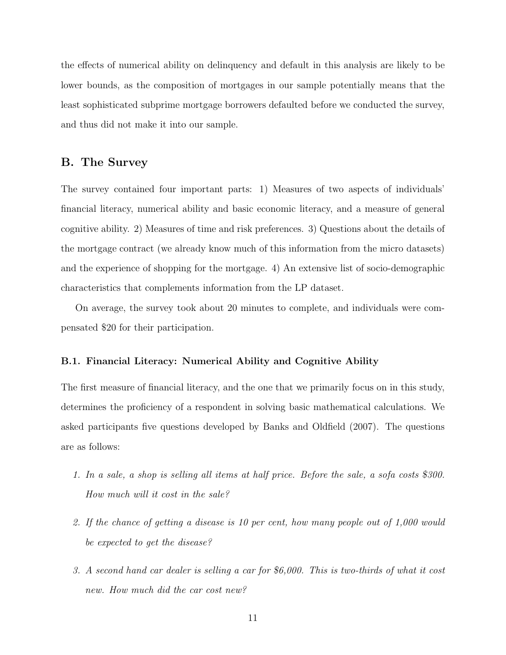the effects of numerical ability on delinquency and default in this analysis are likely to be lower bounds, as the composition of mortgages in our sample potentially means that the least sophisticated subprime mortgage borrowers defaulted before we conducted the survey, and thus did not make it into our sample.

## B. The Survey

The survey contained four important parts: 1) Measures of two aspects of individuals' financial literacy, numerical ability and basic economic literacy, and a measure of general cognitive ability. 2) Measures of time and risk preferences. 3) Questions about the details of the mortgage contract (we already know much of this information from the micro datasets) and the experience of shopping for the mortgage. 4) An extensive list of socio-demographic characteristics that complements information from the LP dataset.

On average, the survey took about 20 minutes to complete, and individuals were compensated \$20 for their participation.

#### B.1. Financial Literacy: Numerical Ability and Cognitive Ability

The first measure of financial literacy, and the one that we primarily focus on in this study, determines the proficiency of a respondent in solving basic mathematical calculations. We asked participants five questions developed by Banks and Oldfield (2007). The questions are as follows:

- *1. In a sale, a shop is selling all items at half price. Before the sale, a sofa costs* \$*300. How much will it cost in the sale?*
- *2. If the chance of getting a disease is 10 per cent, how many people out of 1,000 would be expected to get the disease?*
- *3. A second hand car dealer is selling a car for* \$*6,000. This is two-thirds of what it cost new. How much did the car cost new?*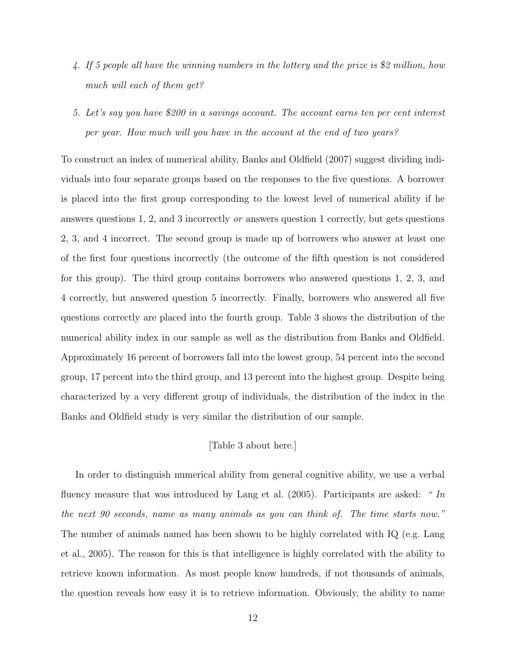- *4. If 5 people all have the winning numbers in the lottery and the prize is* \$*2 million, how much will each of them get?*
- *5. Let's say you have* \$*200 in a savings account. The account earns ten per cent interest per year. How much will you have in the account at the end of two years?*

To construct an index of numerical ability, Banks and Oldfield (2007) suggest dividing individuals into four separate groups based on the responses to the five questions. A borrower is placed into the first group corresponding to the lowest level of numerical ability if he answers questions 1, 2, and 3 incorrectly *or* answers question 1 correctly, but gets questions 2, 3, and 4 incorrect. The second group is made up of borrowers who answer at least one of the first four questions incorrectly (the outcome of the fifth question is not considered for this group). The third group contains borrowers who answered questions 1, 2, 3, and 4 correctly, but answered question 5 incorrectly. Finally, borrowers who answered all five questions correctly are placed into the fourth group. Table 3 shows the distribution of the numerical ability index in our sample as well as the distribution from Banks and Oldfield. Approximately 16 percent of borrowers fall into the lowest group, 54 percent into the second group, 17 percent into the third group, and 13 percent into the highest group. Despite being characterized by a very different group of individuals, the distribution of the index in the Banks and Oldfield study is very similar the distribution of our sample.

## [Table 3 about here.]

In order to distinguish numerical ability from general cognitive ability, we use a verbal fluency measure that was introduced by Lang et al. (2005). Participants are asked: *" In the next 90 seconds, name as many animals as you can think of. The time starts now."* The number of animals named has been shown to be highly correlated with IQ (e.g. Lang et al., 2005). The reason for this is that intelligence is highly correlated with the ability to retrieve known information. As most people know hundreds, if not thousands of animals, the question reveals how easy it is to retrieve information. Obviously, the ability to name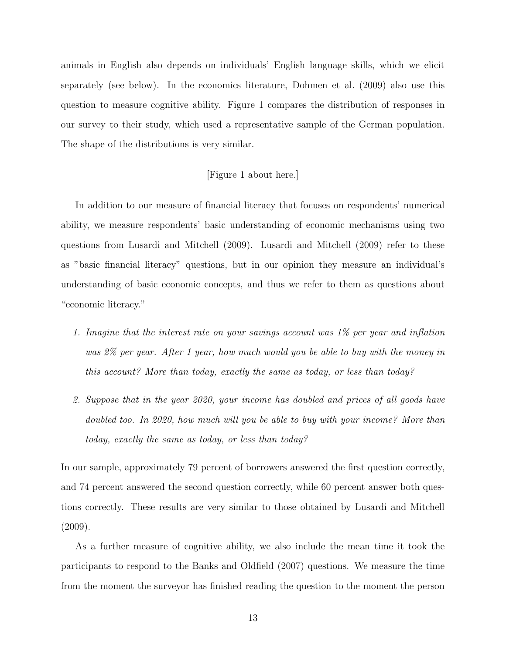animals in English also depends on individuals' English language skills, which we elicit separately (see below). In the economics literature, Dohmen et al. (2009) also use this question to measure cognitive ability. Figure 1 compares the distribution of responses in our survey to their study, which used a representative sample of the German population. The shape of the distributions is very similar.

#### [Figure 1 about here.]

In addition to our measure of financial literacy that focuses on respondents' numerical ability, we measure respondents' basic understanding of economic mechanisms using two questions from Lusardi and Mitchell (2009). Lusardi and Mitchell (2009) refer to these as "basic financial literacy" questions, but in our opinion they measure an individual's understanding of basic economic concepts, and thus we refer to them as questions about "economic literacy."

- *1. Imagine that the interest rate on your savings account was 1% per year and inflation was 2% per year. After 1 year, how much would you be able to buy with the money in this account? More than today, exactly the same as today, or less than today?*
- *2. Suppose that in the year 2020, your income has doubled and prices of all goods have doubled too. In 2020, how much will you be able to buy with your income? More than today, exactly the same as today, or less than today?*

In our sample, approximately 79 percent of borrowers answered the first question correctly, and 74 percent answered the second question correctly, while 60 percent answer both questions correctly. These results are very similar to those obtained by Lusardi and Mitchell (2009).

As a further measure of cognitive ability, we also include the mean time it took the participants to respond to the Banks and Oldfield (2007) questions. We measure the time from the moment the surveyor has finished reading the question to the moment the person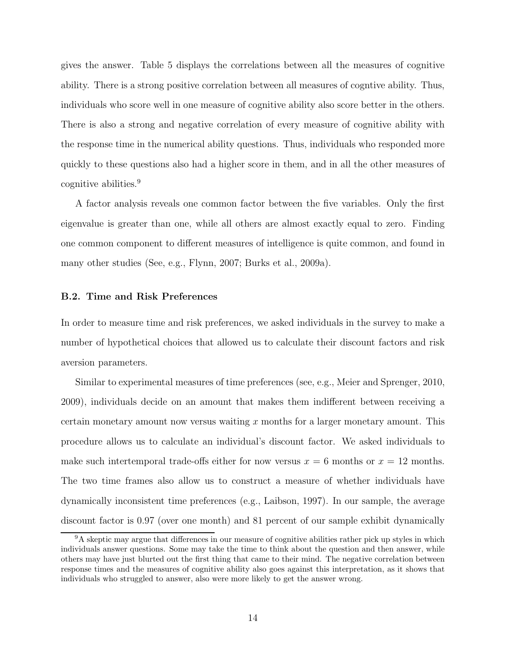gives the answer. Table 5 displays the correlations between all the measures of cognitive ability. There is a strong positive correlation between all measures of cogntive ability. Thus, individuals who score well in one measure of cognitive ability also score better in the others. There is also a strong and negative correlation of every measure of cognitive ability with the response time in the numerical ability questions. Thus, individuals who responded more quickly to these questions also had a higher score in them, and in all the other measures of cognitive abilities.<sup>9</sup>

A factor analysis reveals one common factor between the five variables. Only the first eigenvalue is greater than one, while all others are almost exactly equal to zero. Finding one common component to different measures of intelligence is quite common, and found in many other studies (See, e.g., Flynn, 2007; Burks et al., 2009a).

#### B.2. Time and Risk Preferences

In order to measure time and risk preferences, we asked individuals in the survey to make a number of hypothetical choices that allowed us to calculate their discount factors and risk aversion parameters.

Similar to experimental measures of time preferences (see, e.g., Meier and Sprenger, 2010, 2009), individuals decide on an amount that makes them indifferent between receiving a certain monetary amount now versus waiting  $x$  months for a larger monetary amount. This procedure allows us to calculate an individual's discount factor. We asked individuals to make such intertemporal trade-offs either for now versus  $x = 6$  months or  $x = 12$  months. The two time frames also allow us to construct a measure of whether individuals have dynamically inconsistent time preferences (e.g., Laibson, 1997). In our sample, the average discount factor is 0.97 (over one month) and 81 percent of our sample exhibit dynamically

<sup>&</sup>lt;sup>9</sup>A skeptic may argue that differences in our measure of cognitive abilities rather pick up styles in which individuals answer questions. Some may take the time to think about the question and then answer, while others may have just blurted out the first thing that came to their mind. The negative correlation between response times and the measures of cognitive ability also goes against this interpretation, as it shows that individuals who struggled to answer, also were more likely to get the answer wrong.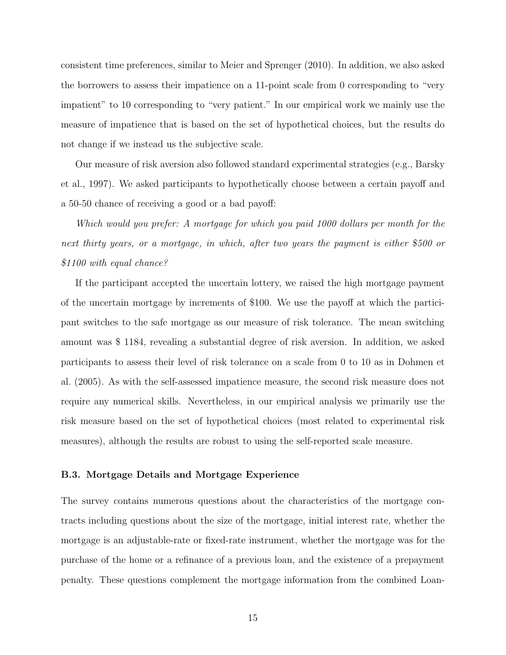consistent time preferences, similar to Meier and Sprenger (2010). In addition, we also asked the borrowers to assess their impatience on a 11-point scale from 0 corresponding to "very impatient" to 10 corresponding to "very patient." In our empirical work we mainly use the measure of impatience that is based on the set of hypothetical choices, but the results do not change if we instead us the subjective scale.

Our measure of risk aversion also followed standard experimental strategies (e.g., Barsky et al., 1997). We asked participants to hypothetically choose between a certain payoff and a 50-50 chance of receiving a good or a bad payoff:

*Which would you prefer: A mortgage for which you paid 1000 dollars per month for the next thirty years, or a mortgage, in which, after two years the payment is either* \$*500 or* \$*1100 with equal chance?*

If the participant accepted the uncertain lottery, we raised the high mortgage payment of the uncertain mortgage by increments of \$100. We use the payoff at which the participant switches to the safe mortgage as our measure of risk tolerance. The mean switching amount was \$ 1184, revealing a substantial degree of risk aversion. In addition, we asked participants to assess their level of risk tolerance on a scale from 0 to 10 as in Dohmen et al. (2005). As with the self-assessed impatience measure, the second risk measure does not require any numerical skills. Nevertheless, in our empirical analysis we primarily use the risk measure based on the set of hypothetical choices (most related to experimental risk measures), although the results are robust to using the self-reported scale measure.

#### B.3. Mortgage Details and Mortgage Experience

The survey contains numerous questions about the characteristics of the mortgage contracts including questions about the size of the mortgage, initial interest rate, whether the mortgage is an adjustable-rate or fixed-rate instrument, whether the mortgage was for the purchase of the home or a refinance of a previous loan, and the existence of a prepayment penalty. These questions complement the mortgage information from the combined Loan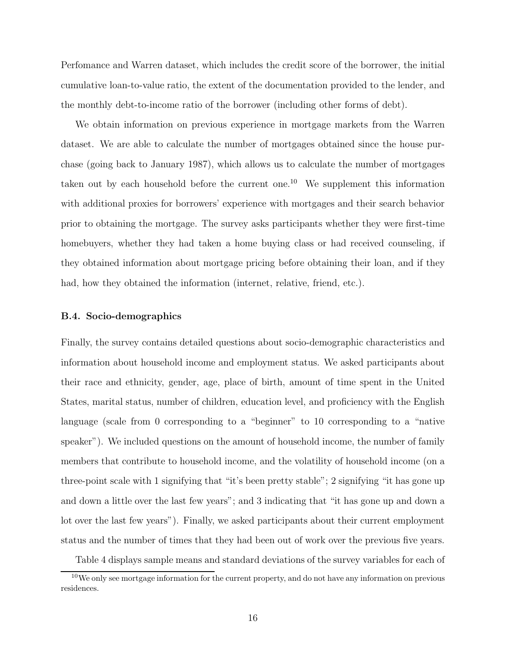Perfomance and Warren dataset, which includes the credit score of the borrower, the initial cumulative loan-to-value ratio, the extent of the documentation provided to the lender, and the monthly debt-to-income ratio of the borrower (including other forms of debt).

We obtain information on previous experience in mortgage markets from the Warren dataset. We are able to calculate the number of mortgages obtained since the house purchase (going back to January 1987), which allows us to calculate the number of mortgages taken out by each household before the current one.<sup>10</sup> We supplement this information with additional proxies for borrowers' experience with mortgages and their search behavior prior to obtaining the mortgage. The survey asks participants whether they were first-time homebuyers, whether they had taken a home buying class or had received counseling, if they obtained information about mortgage pricing before obtaining their loan, and if they had, how they obtained the information (internet, relative, friend, etc.).

#### B.4. Socio-demographics

Finally, the survey contains detailed questions about socio-demographic characteristics and information about household income and employment status. We asked participants about their race and ethnicity, gender, age, place of birth, amount of time spent in the United States, marital status, number of children, education level, and proficiency with the English language (scale from 0 corresponding to a "beginner" to 10 corresponding to a "native speaker"). We included questions on the amount of household income, the number of family members that contribute to household income, and the volatility of household income (on a three-point scale with 1 signifying that "it's been pretty stable"; 2 signifying "it has gone up and down a little over the last few years"; and 3 indicating that "it has gone up and down a lot over the last few years"). Finally, we asked participants about their current employment status and the number of times that they had been out of work over the previous five years.

Table 4 displays sample means and standard deviations of the survey variables for each of

<sup>&</sup>lt;sup>10</sup>We only see mortgage information for the current property, and do not have any information on previous residences.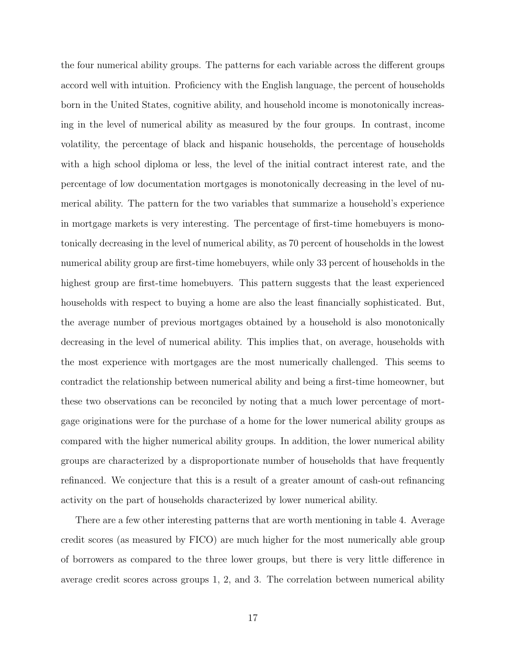the four numerical ability groups. The patterns for each variable across the different groups accord well with intuition. Proficiency with the English language, the percent of households born in the United States, cognitive ability, and household income is monotonically increasing in the level of numerical ability as measured by the four groups. In contrast, income volatility, the percentage of black and hispanic households, the percentage of households with a high school diploma or less, the level of the initial contract interest rate, and the percentage of low documentation mortgages is monotonically decreasing in the level of numerical ability. The pattern for the two variables that summarize a household's experience in mortgage markets is very interesting. The percentage of first-time homebuyers is monotonically decreasing in the level of numerical ability, as 70 percent of households in the lowest numerical ability group are first-time homebuyers, while only 33 percent of households in the highest group are first-time homebuyers. This pattern suggests that the least experienced households with respect to buying a home are also the least financially sophisticated. But, the average number of previous mortgages obtained by a household is also monotonically decreasing in the level of numerical ability. This implies that, on average, households with the most experience with mortgages are the most numerically challenged. This seems to contradict the relationship between numerical ability and being a first-time homeowner, but these two observations can be reconciled by noting that a much lower percentage of mortgage originations were for the purchase of a home for the lower numerical ability groups as compared with the higher numerical ability groups. In addition, the lower numerical ability groups are characterized by a disproportionate number of households that have frequently refinanced. We conjecture that this is a result of a greater amount of cash-out refinancing activity on the part of households characterized by lower numerical ability.

There are a few other interesting patterns that are worth mentioning in table 4. Average credit scores (as measured by FICO) are much higher for the most numerically able group of borrowers as compared to the three lower groups, but there is very little difference in average credit scores across groups 1, 2, and 3. The correlation between numerical ability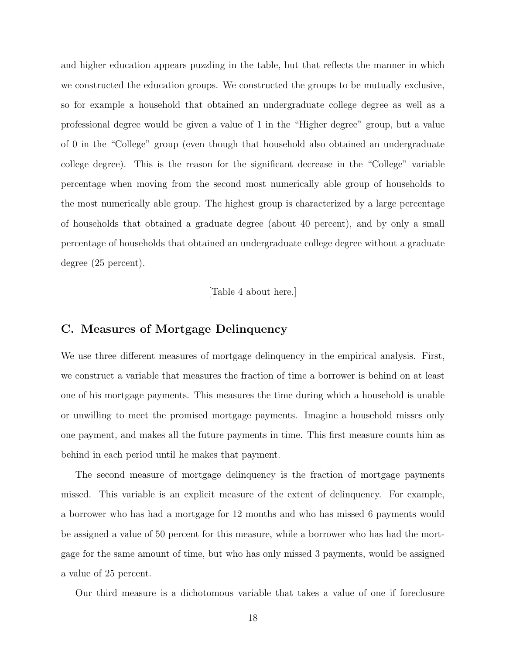and higher education appears puzzling in the table, but that reflects the manner in which we constructed the education groups. We constructed the groups to be mutually exclusive, so for example a household that obtained an undergraduate college degree as well as a professional degree would be given a value of 1 in the "Higher degree" group, but a value of 0 in the "College" group (even though that household also obtained an undergraduate college degree). This is the reason for the significant decrease in the "College" variable percentage when moving from the second most numerically able group of households to the most numerically able group. The highest group is characterized by a large percentage of households that obtained a graduate degree (about 40 percent), and by only a small percentage of households that obtained an undergraduate college degree without a graduate degree (25 percent).

[Table 4 about here.]

## C. Measures of Mortgage Delinquency

We use three different measures of mortgage delinquency in the empirical analysis. First, we construct a variable that measures the fraction of time a borrower is behind on at least one of his mortgage payments. This measures the time during which a household is unable or unwilling to meet the promised mortgage payments. Imagine a household misses only one payment, and makes all the future payments in time. This first measure counts him as behind in each period until he makes that payment.

The second measure of mortgage delinquency is the fraction of mortgage payments missed. This variable is an explicit measure of the extent of delinquency. For example, a borrower who has had a mortgage for 12 months and who has missed 6 payments would be assigned a value of 50 percent for this measure, while a borrower who has had the mortgage for the same amount of time, but who has only missed 3 payments, would be assigned a value of 25 percent.

Our third measure is a dichotomous variable that takes a value of one if foreclosure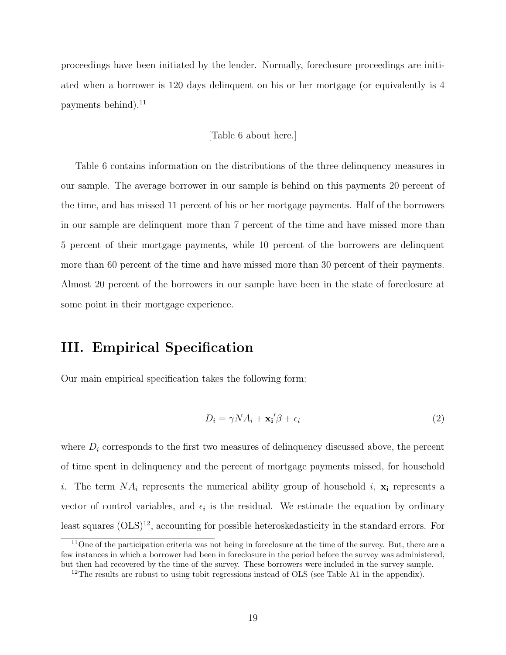proceedings have been initiated by the lender. Normally, foreclosure proceedings are initiated when a borrower is 120 days delinquent on his or her mortgage (or equivalently is 4 payments behind).<sup>11</sup>

#### [Table 6 about here.]

Table 6 contains information on the distributions of the three delinquency measures in our sample. The average borrower in our sample is behind on this payments 20 percent of the time, and has missed 11 percent of his or her mortgage payments. Half of the borrowers in our sample are delinquent more than 7 percent of the time and have missed more than 5 percent of their mortgage payments, while 10 percent of the borrowers are delinquent more than 60 percent of the time and have missed more than 30 percent of their payments. Almost 20 percent of the borrowers in our sample have been in the state of foreclosure at some point in their mortgage experience.

## III. Empirical Specification

Our main empirical specification takes the following form:

$$
D_i = \gamma N A_i + \mathbf{x_i}' \beta + \epsilon_i \tag{2}
$$

where  $D_i$  corresponds to the first two measures of delinquency discussed above, the percent of time spent in delinquency and the percent of mortgage payments missed, for household i. The term  $NA_i$  represents the numerical ability group of household i,  $\mathbf{x}_i$  represents a vector of control variables, and  $\epsilon_i$  is the residual. We estimate the equation by ordinary least squares  $(OLS)^{12}$ , accounting for possible heteroskedasticity in the standard errors. For

 $11$ One of the participation criteria was not being in foreclosure at the time of the survey. But, there are a few instances in which a borrower had been in foreclosure in the period before the survey was administered, but then had recovered by the time of the survey. These borrowers were included in the survey sample.

 $12$ The results are robust to using tobit regressions instead of OLS (see Table A1 in the appendix).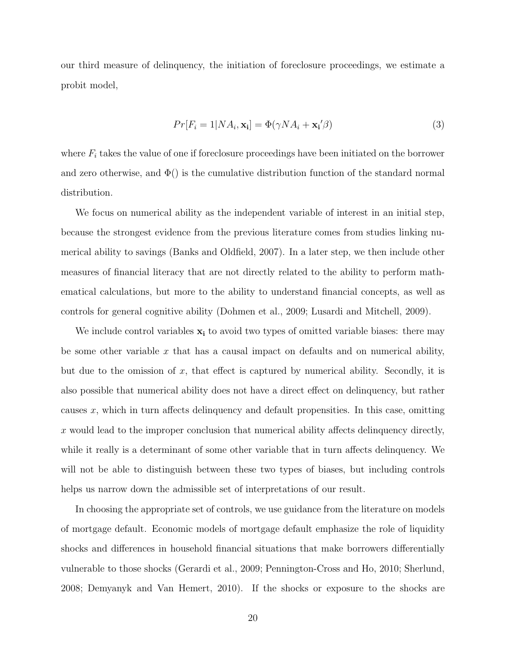our third measure of delinquency, the initiation of foreclosure proceedings, we estimate a probit model,

$$
Pr[F_i = 1|NA_i, \mathbf{x_i}] = \Phi(\gamma NA_i + \mathbf{x_i}'\beta)
$$
\n(3)

where  $F_i$  takes the value of one if foreclosure proceedings have been initiated on the borrower and zero otherwise, and  $\Phi()$  is the cumulative distribution function of the standard normal distribution.

We focus on numerical ability as the independent variable of interest in an initial step, because the strongest evidence from the previous literature comes from studies linking numerical ability to savings (Banks and Oldfield, 2007). In a later step, we then include other measures of financial literacy that are not directly related to the ability to perform mathematical calculations, but more to the ability to understand financial concepts, as well as controls for general cognitive ability (Dohmen et al., 2009; Lusardi and Mitchell, 2009).

We include control variables  $x_i$  to avoid two types of omitted variable biases: there may be some other variable x that has a causal impact on defaults and on numerical ability, but due to the omission of x, that effect is captured by numerical ability. Secondly, it is also possible that numerical ability does not have a direct effect on delinquency, but rather causes x, which in turn affects delinquency and default propensities. In this case, omitting x would lead to the improper conclusion that numerical ability affects delinquency directly, while it really is a determinant of some other variable that in turn affects delinquency. We will not be able to distinguish between these two types of biases, but including controls helps us narrow down the admissible set of interpretations of our result.

In choosing the appropriate set of controls, we use guidance from the literature on models of mortgage default. Economic models of mortgage default emphasize the role of liquidity shocks and differences in household financial situations that make borrowers differentially vulnerable to those shocks (Gerardi et al., 2009; Pennington-Cross and Ho, 2010; Sherlund, 2008; Demyanyk and Van Hemert, 2010). If the shocks or exposure to the shocks are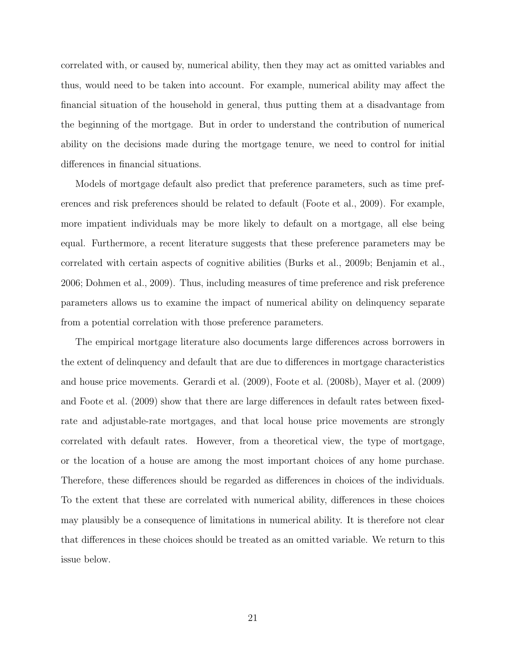correlated with, or caused by, numerical ability, then they may act as omitted variables and thus, would need to be taken into account. For example, numerical ability may affect the financial situation of the household in general, thus putting them at a disadvantage from the beginning of the mortgage. But in order to understand the contribution of numerical ability on the decisions made during the mortgage tenure, we need to control for initial differences in financial situations.

Models of mortgage default also predict that preference parameters, such as time preferences and risk preferences should be related to default (Foote et al., 2009). For example, more impatient individuals may be more likely to default on a mortgage, all else being equal. Furthermore, a recent literature suggests that these preference parameters may be correlated with certain aspects of cognitive abilities (Burks et al., 2009b; Benjamin et al., 2006; Dohmen et al., 2009). Thus, including measures of time preference and risk preference parameters allows us to examine the impact of numerical ability on delinquency separate from a potential correlation with those preference parameters.

The empirical mortgage literature also documents large differences across borrowers in the extent of delinquency and default that are due to differences in mortgage characteristics and house price movements. Gerardi et al. (2009), Foote et al. (2008b), Mayer et al. (2009) and Foote et al. (2009) show that there are large differences in default rates between fixedrate and adjustable-rate mortgages, and that local house price movements are strongly correlated with default rates. However, from a theoretical view, the type of mortgage, or the location of a house are among the most important choices of any home purchase. Therefore, these differences should be regarded as differences in choices of the individuals. To the extent that these are correlated with numerical ability, differences in these choices may plausibly be a consequence of limitations in numerical ability. It is therefore not clear that differences in these choices should be treated as an omitted variable. We return to this issue below.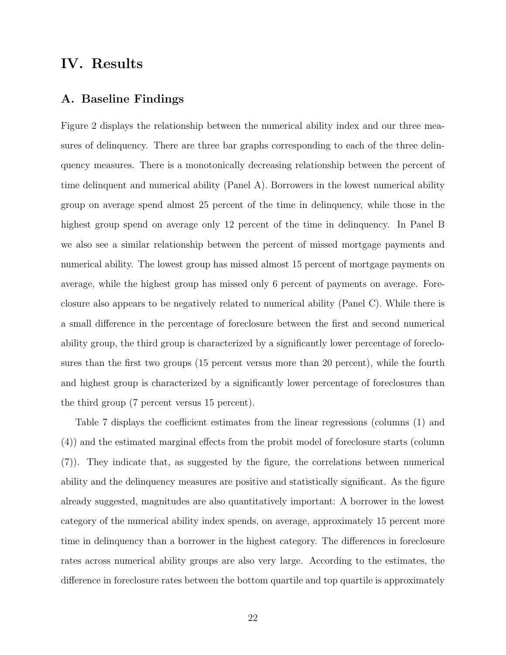## IV. Results

## A. Baseline Findings

Figure 2 displays the relationship between the numerical ability index and our three measures of delinquency. There are three bar graphs corresponding to each of the three delinquency measures. There is a monotonically decreasing relationship between the percent of time delinquent and numerical ability (Panel A). Borrowers in the lowest numerical ability group on average spend almost 25 percent of the time in delinquency, while those in the highest group spend on average only 12 percent of the time in delinquency. In Panel B we also see a similar relationship between the percent of missed mortgage payments and numerical ability. The lowest group has missed almost 15 percent of mortgage payments on average, while the highest group has missed only 6 percent of payments on average. Foreclosure also appears to be negatively related to numerical ability (Panel C). While there is a small difference in the percentage of foreclosure between the first and second numerical ability group, the third group is characterized by a significantly lower percentage of foreclosures than the first two groups (15 percent versus more than 20 percent), while the fourth and highest group is characterized by a significantly lower percentage of foreclosures than the third group (7 percent versus 15 percent).

Table 7 displays the coefficient estimates from the linear regressions (columns (1) and (4)) and the estimated marginal effects from the probit model of foreclosure starts (column (7)). They indicate that, as suggested by the figure, the correlations between numerical ability and the delinquency measures are positive and statistically significant. As the figure already suggested, magnitudes are also quantitatively important: A borrower in the lowest category of the numerical ability index spends, on average, approximately 15 percent more time in delinquency than a borrower in the highest category. The differences in foreclosure rates across numerical ability groups are also very large. According to the estimates, the difference in foreclosure rates between the bottom quartile and top quartile is approximately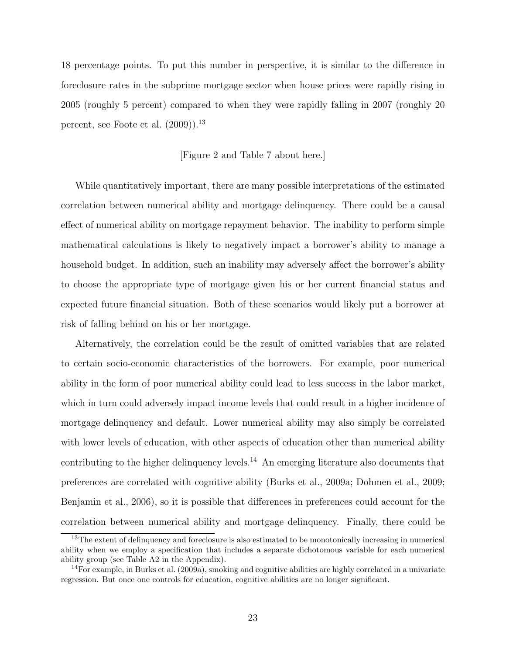18 percentage points. To put this number in perspective, it is similar to the difference in foreclosure rates in the subprime mortgage sector when house prices were rapidly rising in 2005 (roughly 5 percent) compared to when they were rapidly falling in 2007 (roughly 20 percent, see Foote et al.  $(2009)$ .<sup>13</sup>

#### [Figure 2 and Table 7 about here.]

While quantitatively important, there are many possible interpretations of the estimated correlation between numerical ability and mortgage delinquency. There could be a causal effect of numerical ability on mortgage repayment behavior. The inability to perform simple mathematical calculations is likely to negatively impact a borrower's ability to manage a household budget. In addition, such an inability may adversely affect the borrower's ability to choose the appropriate type of mortgage given his or her current financial status and expected future financial situation. Both of these scenarios would likely put a borrower at risk of falling behind on his or her mortgage.

Alternatively, the correlation could be the result of omitted variables that are related to certain socio-economic characteristics of the borrowers. For example, poor numerical ability in the form of poor numerical ability could lead to less success in the labor market, which in turn could adversely impact income levels that could result in a higher incidence of mortgage delinquency and default. Lower numerical ability may also simply be correlated with lower levels of education, with other aspects of education other than numerical ability contributing to the higher delinquency levels.<sup>14</sup> An emerging literature also documents that preferences are correlated with cognitive ability (Burks et al., 2009a; Dohmen et al., 2009; Benjamin et al., 2006), so it is possible that differences in preferences could account for the correlation between numerical ability and mortgage delinquency. Finally, there could be

<sup>&</sup>lt;sup>13</sup>The extent of delinquency and foreclosure is also estimated to be monotonically increasing in numerical ability when we employ a specification that includes a separate dichotomous variable for each numerical ability group (see Table A2 in the Appendix).

 $14$ For example, in Burks et al. (2009a), smoking and cognitive abilities are highly correlated in a univariate regression. But once one controls for education, cognitive abilities are no longer significant.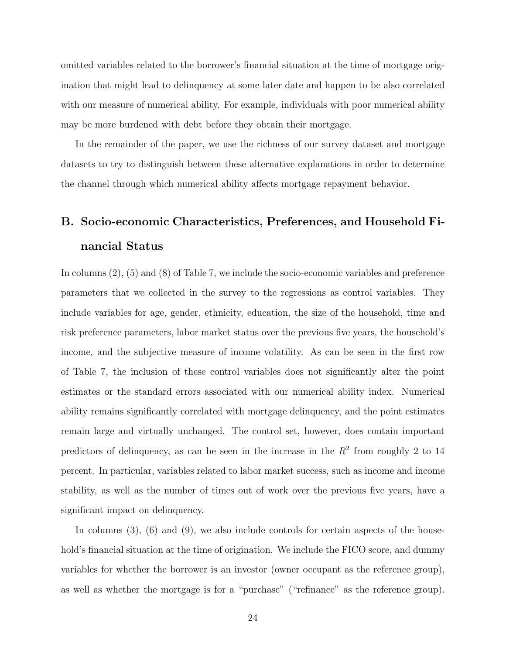omitted variables related to the borrower's financial situation at the time of mortgage origination that might lead to delinquency at some later date and happen to be also correlated with our measure of numerical ability. For example, individuals with poor numerical ability may be more burdened with debt before they obtain their mortgage.

In the remainder of the paper, we use the richness of our survey dataset and mortgage datasets to try to distinguish between these alternative explanations in order to determine the channel through which numerical ability affects mortgage repayment behavior.

# B. Socio-economic Characteristics, Preferences, and Household Financial Status

In columns (2), (5) and (8) of Table 7, we include the socio-economic variables and preference parameters that we collected in the survey to the regressions as control variables. They include variables for age, gender, ethnicity, education, the size of the household, time and risk preference parameters, labor market status over the previous five years, the household's income, and the subjective measure of income volatility. As can be seen in the first row of Table 7, the inclusion of these control variables does not significantly alter the point estimates or the standard errors associated with our numerical ability index. Numerical ability remains significantly correlated with mortgage delinquency, and the point estimates remain large and virtually unchanged. The control set, however, does contain important predictors of delinquency, as can be seen in the increase in the  $R<sup>2</sup>$  from roughly 2 to 14 percent. In particular, variables related to labor market success, such as income and income stability, as well as the number of times out of work over the previous five years, have a significant impact on delinquency.

In columns (3), (6) and (9), we also include controls for certain aspects of the household's financial situation at the time of origination. We include the FICO score, and dummy variables for whether the borrower is an investor (owner occupant as the reference group), as well as whether the mortgage is for a "purchase" ("refinance" as the reference group).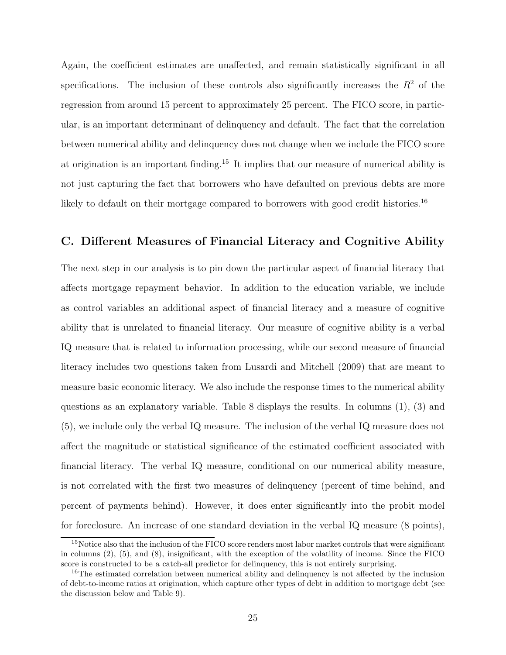Again, the coefficient estimates are unaffected, and remain statistically significant in all specifications. The inclusion of these controls also significantly increases the  $R<sup>2</sup>$  of the regression from around 15 percent to approximately 25 percent. The FICO score, in particular, is an important determinant of delinquency and default. The fact that the correlation between numerical ability and delinquency does not change when we include the FICO score at origination is an important finding.<sup>15</sup> It implies that our measure of numerical ability is not just capturing the fact that borrowers who have defaulted on previous debts are more likely to default on their mortgage compared to borrowers with good credit histories.<sup>16</sup>

## C. Different Measures of Financial Literacy and Cognitive Ability

The next step in our analysis is to pin down the particular aspect of financial literacy that affects mortgage repayment behavior. In addition to the education variable, we include as control variables an additional aspect of financial literacy and a measure of cognitive ability that is unrelated to financial literacy. Our measure of cognitive ability is a verbal IQ measure that is related to information processing, while our second measure of financial literacy includes two questions taken from Lusardi and Mitchell (2009) that are meant to measure basic economic literacy. We also include the response times to the numerical ability questions as an explanatory variable. Table 8 displays the results. In columns (1), (3) and (5), we include only the verbal IQ measure. The inclusion of the verbal IQ measure does not affect the magnitude or statistical significance of the estimated coefficient associated with financial literacy. The verbal IQ measure, conditional on our numerical ability measure, is not correlated with the first two measures of delinquency (percent of time behind, and percent of payments behind). However, it does enter significantly into the probit model for foreclosure. An increase of one standard deviation in the verbal IQ measure (8 points),

<sup>&</sup>lt;sup>15</sup>Notice also that the inclusion of the FICO score renders most labor market controls that were significant in columns (2), (5), and (8), insignificant, with the exception of the volatility of income. Since the FICO score is constructed to be a catch-all predictor for delinquency, this is not entirely surprising.

<sup>&</sup>lt;sup>16</sup>The estimated correlation between numerical ability and delinquency is not affected by the inclusion of debt-to-income ratios at origination, which capture other types of debt in addition to mortgage debt (see the discussion below and Table 9).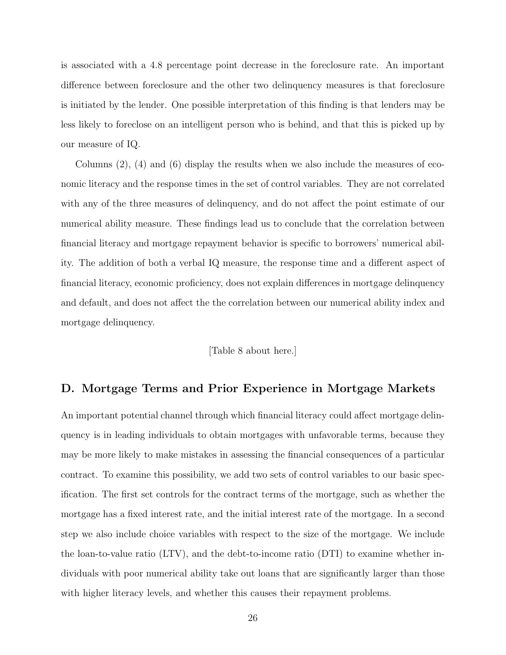is associated with a 4.8 percentage point decrease in the foreclosure rate. An important difference between foreclosure and the other two delinquency measures is that foreclosure is initiated by the lender. One possible interpretation of this finding is that lenders may be less likely to foreclose on an intelligent person who is behind, and that this is picked up by our measure of IQ.

Columns  $(2)$ ,  $(4)$  and  $(6)$  display the results when we also include the measures of economic literacy and the response times in the set of control variables. They are not correlated with any of the three measures of delinquency, and do not affect the point estimate of our numerical ability measure. These findings lead us to conclude that the correlation between financial literacy and mortgage repayment behavior is specific to borrowers' numerical ability. The addition of both a verbal IQ measure, the response time and a different aspect of financial literacy, economic proficiency, does not explain differences in mortgage delinquency and default, and does not affect the the correlation between our numerical ability index and mortgage delinquency.

[Table 8 about here.]

## D. Mortgage Terms and Prior Experience in Mortgage Markets

An important potential channel through which financial literacy could affect mortgage delinquency is in leading individuals to obtain mortgages with unfavorable terms, because they may be more likely to make mistakes in assessing the financial consequences of a particular contract. To examine this possibility, we add two sets of control variables to our basic specification. The first set controls for the contract terms of the mortgage, such as whether the mortgage has a fixed interest rate, and the initial interest rate of the mortgage. In a second step we also include choice variables with respect to the size of the mortgage. We include the loan-to-value ratio (LTV), and the debt-to-income ratio (DTI) to examine whether individuals with poor numerical ability take out loans that are significantly larger than those with higher literacy levels, and whether this causes their repayment problems.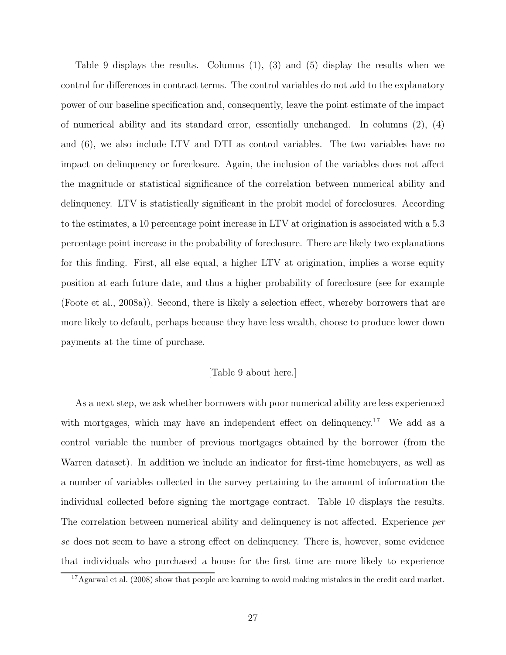Table 9 displays the results. Columns (1), (3) and (5) display the results when we control for differences in contract terms. The control variables do not add to the explanatory power of our baseline specification and, consequently, leave the point estimate of the impact of numerical ability and its standard error, essentially unchanged. In columns (2), (4) and (6), we also include LTV and DTI as control variables. The two variables have no impact on delinquency or foreclosure. Again, the inclusion of the variables does not affect the magnitude or statistical significance of the correlation between numerical ability and delinquency. LTV is statistically significant in the probit model of foreclosures. According to the estimates, a 10 percentage point increase in LTV at origination is associated with a 5.3 percentage point increase in the probability of foreclosure. There are likely two explanations for this finding. First, all else equal, a higher LTV at origination, implies a worse equity position at each future date, and thus a higher probability of foreclosure (see for example (Foote et al., 2008a)). Second, there is likely a selection effect, whereby borrowers that are more likely to default, perhaps because they have less wealth, choose to produce lower down payments at the time of purchase.

#### [Table 9 about here.]

As a next step, we ask whether borrowers with poor numerical ability are less experienced with mortgages, which may have an independent effect on delinquency.<sup>17</sup> We add as a control variable the number of previous mortgages obtained by the borrower (from the Warren dataset). In addition we include an indicator for first-time homebuyers, as well as a number of variables collected in the survey pertaining to the amount of information the individual collected before signing the mortgage contract. Table 10 displays the results. The correlation between numerical ability and delinquency is not affected. Experience *per se* does not seem to have a strong effect on delinquency. There is, however, some evidence that individuals who purchased a house for the first time are more likely to experience

<sup>&</sup>lt;sup>17</sup>Agarwal et al. (2008) show that people are learning to avoid making mistakes in the credit card market.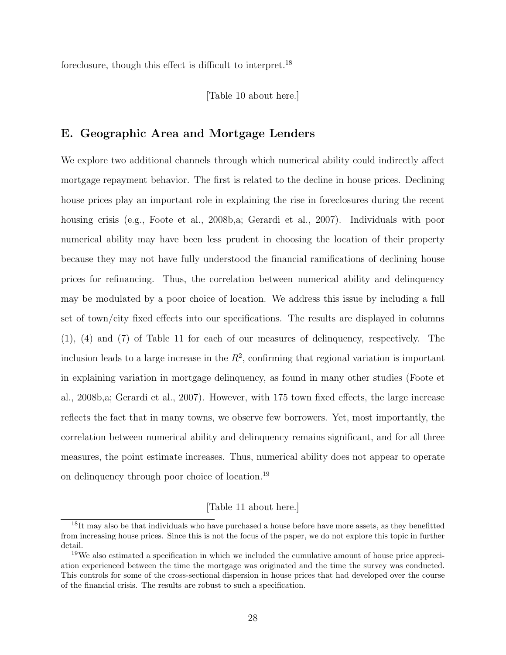foreclosure, though this effect is difficult to interpret.<sup>18</sup>

[Table 10 about here.]

## E. Geographic Area and Mortgage Lenders

We explore two additional channels through which numerical ability could indirectly affect mortgage repayment behavior. The first is related to the decline in house prices. Declining house prices play an important role in explaining the rise in foreclosures during the recent housing crisis (e.g., Foote et al., 2008b,a; Gerardi et al., 2007). Individuals with poor numerical ability may have been less prudent in choosing the location of their property because they may not have fully understood the financial ramifications of declining house prices for refinancing. Thus, the correlation between numerical ability and delinquency may be modulated by a poor choice of location. We address this issue by including a full set of town/city fixed effects into our specifications. The results are displayed in columns (1), (4) and (7) of Table 11 for each of our measures of delinquency, respectively. The inclusion leads to a large increase in the  $R^2$ , confirming that regional variation is important in explaining variation in mortgage delinquency, as found in many other studies (Foote et al., 2008b,a; Gerardi et al., 2007). However, with 175 town fixed effects, the large increase reflects the fact that in many towns, we observe few borrowers. Yet, most importantly, the correlation between numerical ability and delinquency remains significant, and for all three measures, the point estimate increases. Thus, numerical ability does not appear to operate on delinquency through poor choice of location.<sup>19</sup>

### [Table 11 about here.]

<sup>&</sup>lt;sup>18</sup>It may also be that individuals who have purchased a house before have more assets, as they benefitted from increasing house prices. Since this is not the focus of the paper, we do not explore this topic in further detail.

<sup>&</sup>lt;sup>19</sup>We also estimated a specification in which we included the cumulative amount of house price appreciation experienced between the time the mortgage was originated and the time the survey was conducted. This controls for some of the cross-sectional dispersion in house prices that had developed over the course of the financial crisis. The results are robust to such a specification.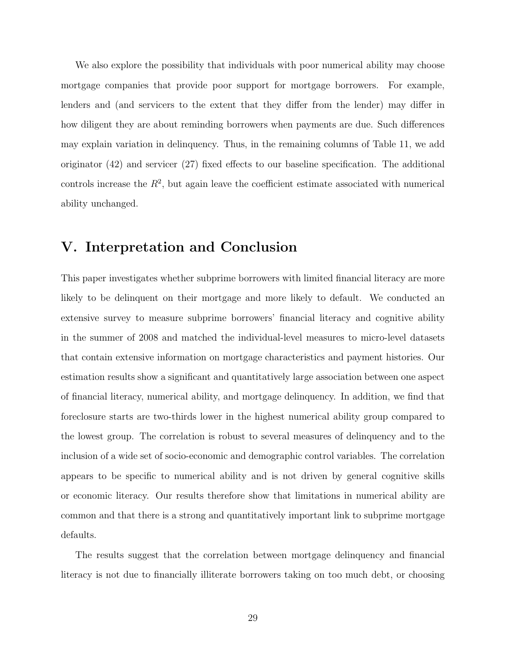We also explore the possibility that individuals with poor numerical ability may choose mortgage companies that provide poor support for mortgage borrowers. For example, lenders and (and servicers to the extent that they differ from the lender) may differ in how diligent they are about reminding borrowers when payments are due. Such differences may explain variation in delinquency. Thus, in the remaining columns of Table 11, we add originator (42) and servicer (27) fixed effects to our baseline specification. The additional controls increase the  $R^2$ , but again leave the coefficient estimate associated with numerical ability unchanged.

## V. Interpretation and Conclusion

This paper investigates whether subprime borrowers with limited financial literacy are more likely to be delinquent on their mortgage and more likely to default. We conducted an extensive survey to measure subprime borrowers' financial literacy and cognitive ability in the summer of 2008 and matched the individual-level measures to micro-level datasets that contain extensive information on mortgage characteristics and payment histories. Our estimation results show a significant and quantitatively large association between one aspect of financial literacy, numerical ability, and mortgage delinquency. In addition, we find that foreclosure starts are two-thirds lower in the highest numerical ability group compared to the lowest group. The correlation is robust to several measures of delinquency and to the inclusion of a wide set of socio-economic and demographic control variables. The correlation appears to be specific to numerical ability and is not driven by general cognitive skills or economic literacy. Our results therefore show that limitations in numerical ability are common and that there is a strong and quantitatively important link to subprime mortgage defaults.

The results suggest that the correlation between mortgage delinquency and financial literacy is not due to financially illiterate borrowers taking on too much debt, or choosing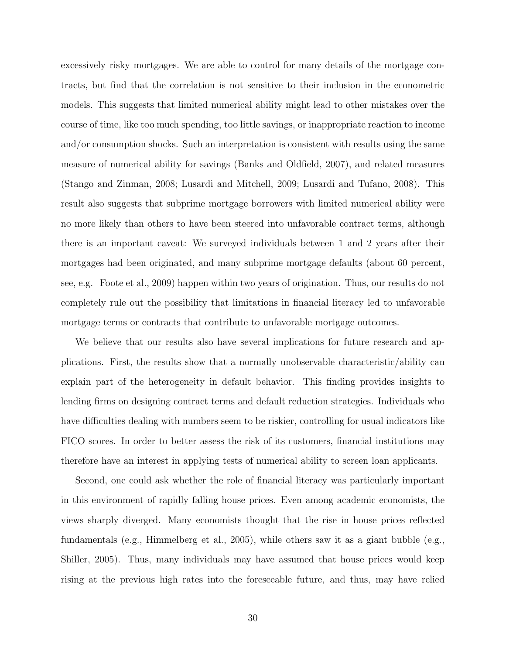excessively risky mortgages. We are able to control for many details of the mortgage contracts, but find that the correlation is not sensitive to their inclusion in the econometric models. This suggests that limited numerical ability might lead to other mistakes over the course of time, like too much spending, too little savings, or inappropriate reaction to income and/or consumption shocks. Such an interpretation is consistent with results using the same measure of numerical ability for savings (Banks and Oldfield, 2007), and related measures (Stango and Zinman, 2008; Lusardi and Mitchell, 2009; Lusardi and Tufano, 2008). This result also suggests that subprime mortgage borrowers with limited numerical ability were no more likely than others to have been steered into unfavorable contract terms, although there is an important caveat: We surveyed individuals between 1 and 2 years after their mortgages had been originated, and many subprime mortgage defaults (about 60 percent, see, e.g. Foote et al., 2009) happen within two years of origination. Thus, our results do not completely rule out the possibility that limitations in financial literacy led to unfavorable mortgage terms or contracts that contribute to unfavorable mortgage outcomes.

We believe that our results also have several implications for future research and applications. First, the results show that a normally unobservable characteristic/ability can explain part of the heterogeneity in default behavior. This finding provides insights to lending firms on designing contract terms and default reduction strategies. Individuals who have difficulties dealing with numbers seem to be riskier, controlling for usual indicators like FICO scores. In order to better assess the risk of its customers, financial institutions may therefore have an interest in applying tests of numerical ability to screen loan applicants.

Second, one could ask whether the role of financial literacy was particularly important in this environment of rapidly falling house prices. Even among academic economists, the views sharply diverged. Many economists thought that the rise in house prices reflected fundamentals (e.g., Himmelberg et al., 2005), while others saw it as a giant bubble (e.g., Shiller, 2005). Thus, many individuals may have assumed that house prices would keep rising at the previous high rates into the foreseeable future, and thus, may have relied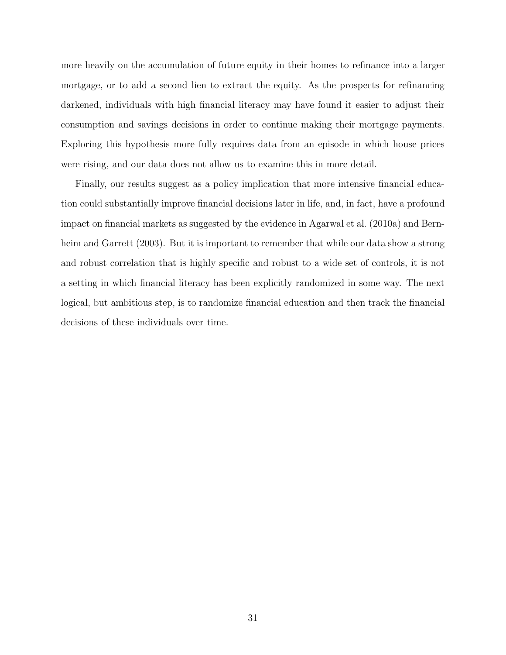more heavily on the accumulation of future equity in their homes to refinance into a larger mortgage, or to add a second lien to extract the equity. As the prospects for refinancing darkened, individuals with high financial literacy may have found it easier to adjust their consumption and savings decisions in order to continue making their mortgage payments. Exploring this hypothesis more fully requires data from an episode in which house prices were rising, and our data does not allow us to examine this in more detail.

Finally, our results suggest as a policy implication that more intensive financial education could substantially improve financial decisions later in life, and, in fact, have a profound impact on financial markets as suggested by the evidence in Agarwal et al. (2010a) and Bernheim and Garrett (2003). But it is important to remember that while our data show a strong and robust correlation that is highly specific and robust to a wide set of controls, it is not a setting in which financial literacy has been explicitly randomized in some way. The next logical, but ambitious step, is to randomize financial education and then track the financial decisions of these individuals over time.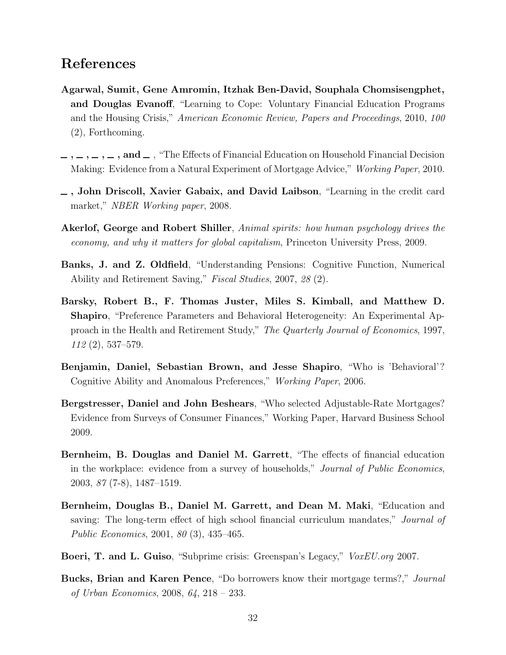## References

- Agarwal, Sumit, Gene Amromin, Itzhak Ben-David, Souphala Chomsisengphet, and Douglas Evanoff, "Learning to Cope: Voluntary Financial Education Programs and the Housing Crisis," *American Economic Review, Papers and Proceedings*, 2010, *100* (2), Forthcoming.
- $\ldots$ ,  $\ldots$ ,  $\ldots$ , and  $\ldots$ , "The Effects of Financial Education on Household Financial Decision Making: Evidence from a Natural Experiment of Mortgage Advice," *Working Paper*, 2010.
- , John Driscoll, Xavier Gabaix, and David Laibson, "Learning in the credit card market," *NBER Working paper*, 2008.
- Akerlof, George and Robert Shiller, *Animal spirits: how human psychology drives the economy, and why it matters for global capitalism*, Princeton University Press, 2009.
- Banks, J. and Z. Oldfield, "Understanding Pensions: Cognitive Function, Numerical Ability and Retirement Saving," *Fiscal Studies*, 2007, *28* (2).
- Barsky, Robert B., F. Thomas Juster, Miles S. Kimball, and Matthew D. Shapiro, "Preference Parameters and Behavioral Heterogeneity: An Experimental Approach in the Health and Retirement Study," *The Quarterly Journal of Economics*, 1997, *112* (2), 537–579.
- Benjamin, Daniel, Sebastian Brown, and Jesse Shapiro, "Who is 'Behavioral'? Cognitive Ability and Anomalous Preferences," *Working Paper*, 2006.
- Bergstresser, Daniel and John Beshears, "Who selected Adjustable-Rate Mortgages? Evidence from Surveys of Consumer Finances," Working Paper, Harvard Business School 2009.
- Bernheim, B. Douglas and Daniel M. Garrett, "The effects of financial education in the workplace: evidence from a survey of households," *Journal of Public Economics*, 2003, *87* (7-8), 1487–1519.
- Bernheim, Douglas B., Daniel M. Garrett, and Dean M. Maki, "Education and saving: The long-term effect of high school financial curriculum mandates," *Journal of Public Economics*, 2001, *80* (3), 435–465.
- Boeri, T. and L. Guiso, "Subprime crisis: Greenspan's Legacy," *VoxEU.org* 2007.
- Bucks, Brian and Karen Pence, "Do borrowers know their mortgage terms?," *Journal of Urban Economics*, 2008, *64*, 218 – 233.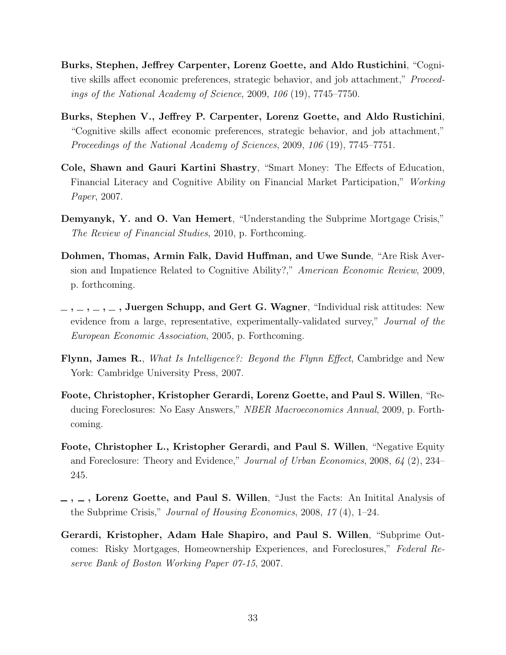- Burks, Stephen, Jeffrey Carpenter, Lorenz Goette, and Aldo Rustichini, "Cognitive skills affect economic preferences, strategic behavior, and job attachment," *Proceedings of the National Academy of Science*, 2009, *106* (19), 7745–7750.
- Burks, Stephen V., Jeffrey P. Carpenter, Lorenz Goette, and Aldo Rustichini, "Cognitive skills affect economic preferences, strategic behavior, and job attachment," *Proceedings of the National Academy of Sciences*, 2009, *106* (19), 7745–7751.
- Cole, Shawn and Gauri Kartini Shastry, "Smart Money: The Effects of Education, Financial Literacy and Cognitive Ability on Financial Market Participation," *Working Paper*, 2007.
- Demyanyk, Y. and O. Van Hemert, "Understanding the Subprime Mortgage Crisis," *The Review of Financial Studies*, 2010, p. Forthcoming.
- Dohmen, Thomas, Armin Falk, David Huffman, and Uwe Sunde, "Are Risk Aversion and Impatience Related to Cognitive Ability?," *American Economic Review*, 2009, p. forthcoming.
- $-$ ,  $-$ ,  $-$ ,  $-$ ,  $-$ , Juergen Schupp, and Gert G. Wagner, "Individual risk attitudes: New evidence from a large, representative, experimentally-validated survey," *Journal of the European Economic Association*, 2005, p. Forthcoming.
- Flynn, James R., *What Is Intelligence?: Beyond the Flynn Effect*, Cambridge and New York: Cambridge University Press, 2007.
- Foote, Christopher, Kristopher Gerardi, Lorenz Goette, and Paul S. Willen, "Reducing Foreclosures: No Easy Answers," *NBER Macroeconomics Annual*, 2009, p. Forthcoming.
- Foote, Christopher L., Kristopher Gerardi, and Paul S. Willen, "Negative Equity and Foreclosure: Theory and Evidence," *Journal of Urban Economics*, 2008, *64* (2), 234– 245.
- $\Box$ ,  $\Box$ , Lorenz Goette, and Paul S. Willen, "Just the Facts: An Initital Analysis of the Subprime Crisis," *Journal of Housing Economics*, 2008, *17* (4), 1–24.
- Gerardi, Kristopher, Adam Hale Shapiro, and Paul S. Willen, "Subprime Outcomes: Risky Mortgages, Homeownership Experiences, and Foreclosures," *Federal Reserve Bank of Boston Working Paper 07-15*, 2007.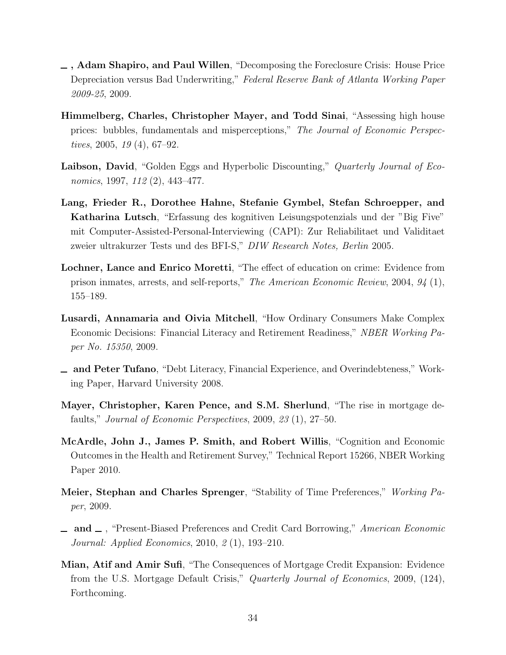- $\equiv$  , Adam Shapiro, and Paul Willen, "Decomposing the Foreclosure Crisis: House Price Depreciation versus Bad Underwriting," *Federal Reserve Bank of Atlanta Working Paper 2009-25*, 2009.
- Himmelberg, Charles, Christopher Mayer, and Todd Sinai, "Assessing high house prices: bubbles, fundamentals and misperceptions," *The Journal of Economic Perspectives*, 2005, *19* (4), 67–92.
- Laibson, David, "Golden Eggs and Hyperbolic Discounting," *Quarterly Journal of Economics*, 1997, *112* (2), 443–477.
- Lang, Frieder R., Dorothee Hahne, Stefanie Gymbel, Stefan Schroepper, and Katharina Lutsch, "Erfassung des kognitiven Leisungspotenzials und der "Big Five" mit Computer-Assisted-Personal-Interviewing (CAPI): Zur Reliabilitaet und Validitaet zweier ultrakurzer Tests und des BFI-S," *DIW Research Notes, Berlin* 2005.
- Lochner, Lance and Enrico Moretti, "The effect of education on crime: Evidence from prison inmates, arrests, and self-reports," *The American Economic Review*, 2004, *94* (1), 155–189.
- Lusardi, Annamaria and Oivia Mitchell, "How Ordinary Consumers Make Complex Economic Decisions: Financial Literacy and Retirement Readiness," *NBER Working Paper No. 15350*, 2009.
- and Peter Tufano, "Debt Literacy, Financial Experience, and Overindebteness," Working Paper, Harvard University 2008.
- Mayer, Christopher, Karen Pence, and S.M. Sherlund, "The rise in mortgage defaults," *Journal of Economic Perspectives*, 2009, *23* (1), 27–50.
- McArdle, John J., James P. Smith, and Robert Willis, "Cognition and Economic Outcomes in the Health and Retirement Survey," Technical Report 15266, NBER Working Paper 2010.
- Meier, Stephan and Charles Sprenger, "Stability of Time Preferences," *Working Paper*, 2009.
- and , "Present-Biased Preferences and Credit Card Borrowing," *American Economic Journal: Applied Economics*, 2010, *2* (1), 193–210.
- Mian, Atif and Amir Sufi, "The Consequences of Mortgage Credit Expansion: Evidence from the U.S. Mortgage Default Crisis," *Quarterly Journal of Economics*, 2009, (124), Forthcoming.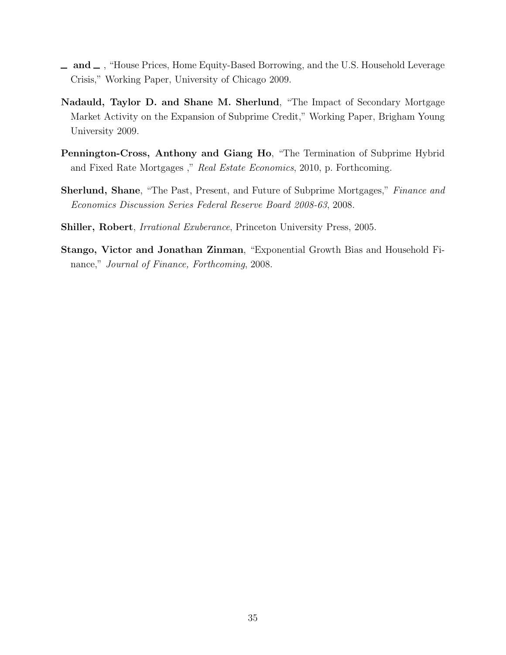- $\Box$  and  $\Box$ , "House Prices, Home Equity-Based Borrowing, and the U.S. Household Leverage Crisis," Working Paper, University of Chicago 2009.
- Nadauld, Taylor D. and Shane M. Sherlund, "The Impact of Secondary Mortgage Market Activity on the Expansion of Subprime Credit," Working Paper, Brigham Young University 2009.
- Pennington-Cross, Anthony and Giang Ho, "The Termination of Subprime Hybrid and Fixed Rate Mortgages ," *Real Estate Economics*, 2010, p. Forthcoming.
- Sherlund, Shane, "The Past, Present, and Future of Subprime Mortgages," *Finance and Economics Discussion Series Federal Reserve Board 2008-63*, 2008.
- Shiller, Robert, *Irrational Exuberance*, Princeton University Press, 2005.
- Stango, Victor and Jonathan Zinman, "Exponential Growth Bias and Household Finance," *Journal of Finance, Forthcoming*, 2008.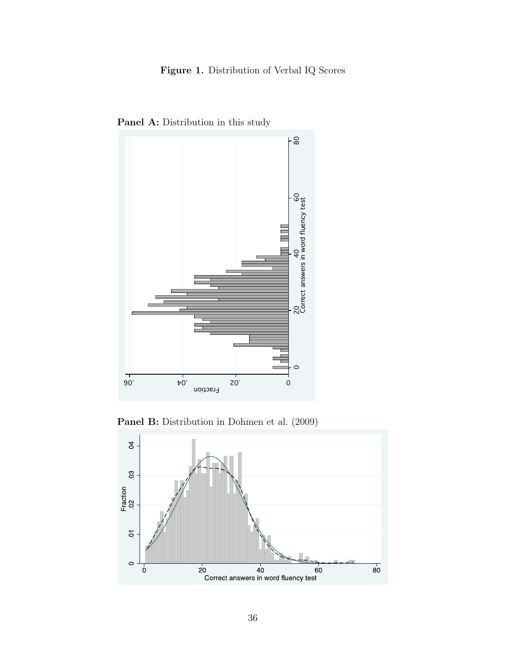



Panel A: Distribution in this study

Panel B: Distribution in Dohmen et al. (2009)

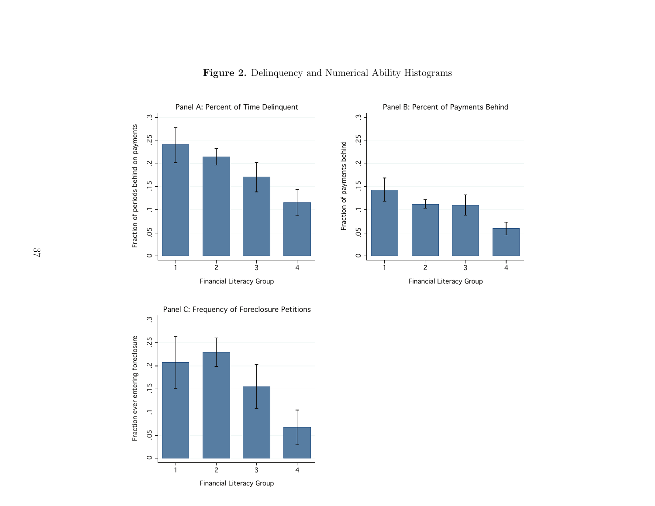

Figure 2. Delinquency and Numerical Ability Histograms



Financial Literacy Group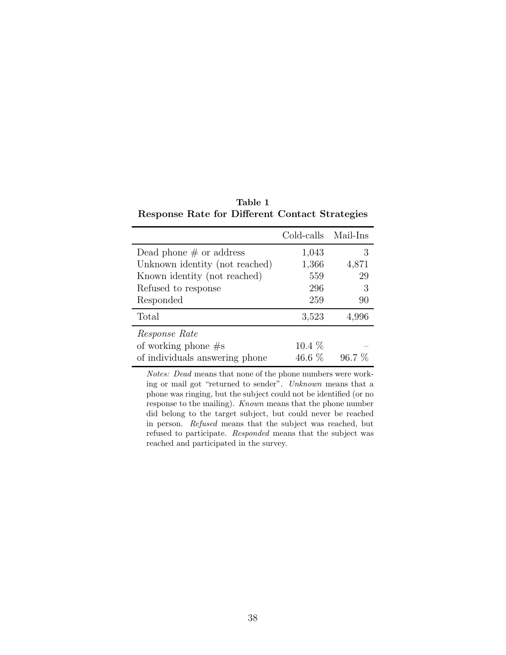|                                | Cold-calls Mail-Ins |          |
|--------------------------------|---------------------|----------|
| Dead phone $\#$ or address     | 1,043               | 3        |
| Unknown identity (not reached) | 1,366               | 4,871    |
| Known identity (not reached)   | 559                 | 29       |
| Refused to response            | 296                 | 3        |
| Responded                      | 259                 | 90       |
| Total                          | 3,523               | 4,996    |
| Response Rate                  |                     |          |
| of working phone $\#s$         | $10.4\%$            |          |
| of individuals answering phone | $46.6\%$            | $96.7\%$ |

Table 1 Response Rate for Different Contact Strategies

Notes: Dead means that none of the phone numbers were working or mail got "returned to sender". Unknown means that a phone was ringing, but the subject could not be identified (or no response to the mailing). Known means that the phone number did belong to the target subject, but could never be reached in person. Refused means that the subject was reached, but refused to participate. Responded means that the subject was reached and participated in the survey.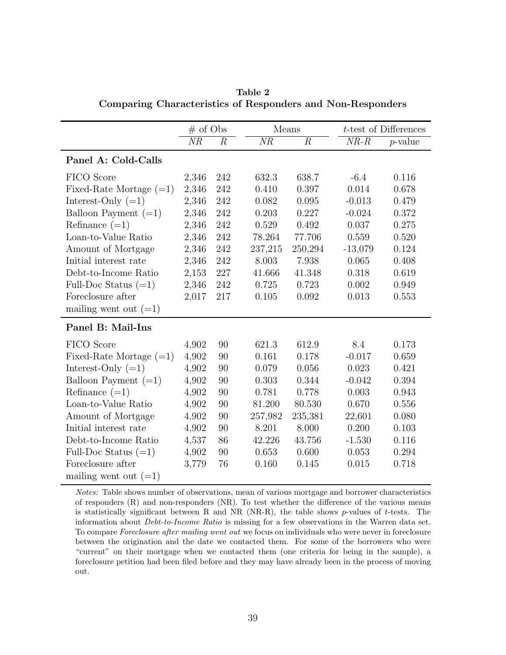|                           | $#$ of Obs<br>Means |                  |                 |                | t-test of Differences |            |
|---------------------------|---------------------|------------------|-----------------|----------------|-----------------------|------------|
|                           | $\overline{NR}$     | $\boldsymbol{R}$ | $\overline{NR}$ | $\overline{R}$ | $NR-R$                | $p$ -value |
| Panel A: Cold-Calls       |                     |                  |                 |                |                       |            |
| FICO Score                | 2,346               | 242              | 632.3           | 638.7          | $-6.4$                | 0.116      |
| Fixed-Rate Mortage $(=1)$ | 2,346               | 242              | 0.410           | 0.397          | 0.014                 | 0.678      |
| Interest-Only $(=1)$      | 2,346               | 242              | 0.082           | 0.095          | $-0.013$              | 0.479      |
| Balloon Payment $(=1)$    | 2,346               | 242              | 0.203           | 0.227          | $-0.024$              | 0.372      |
| Refinance $(=1)$          | 2,346               | 242              | 0.529           | 0.492          | 0.037                 | 0.275      |
| Loan-to-Value Ratio       | 2,346               | 242              | 78.264          | 77.706         | 0.559                 | 0.520      |
| Amount of Mortgage        | 2,346               | 242              | 237,215         | 250,294        | $-13,079$             | 0.124      |
| Initial interest rate     | 2,346               | 242              | 8.003           | 7.938          | 0.065                 | 0.408      |
| Debt-to-Income Ratio      | 2,153               | $227\,$          | 41.666          | 41.348         | 0.318                 | 0.619      |
| Full-Doc Status $(=1)$    | 2,346               | 242              | 0.725           | 0.723          | 0.002                 | 0.949      |
| Foreclosure after         | 2,017               | 217              | 0.105           | 0.092          | 0.013                 | 0.553      |
| mailing went out $(=1)$   |                     |                  |                 |                |                       |            |
| Panel B: Mail-Ins         |                     |                  |                 |                |                       |            |
| FICO Score                | 4,902               | 90               | 621.3           | 612.9          | 8.4                   | 0.173      |
| Fixed-Rate Mortage $(=1)$ | 4,902               | 90               | 0.161           | 0.178          | $-0.017$              | 0.659      |
| Interest-Only $(=1)$      | 4,902               | 90               | 0.079           | 0.056          | 0.023                 | 0.421      |
| Balloon Payment $(=1)$    | 4,902               | 90               | 0.303           | 0.344          | $-0.042$              | 0.394      |
| Refinance $(=1)$          | 4,902               | 90               | 0.781           | 0.778          | 0.003                 | 0.943      |
| Loan-to-Value Ratio       | 4,902               | 90               | 81.200          | 80.530         | 0.670                 | 0.556      |
| Amount of Mortgage        | 4,902               | 90               | 257,982         | 235,381        | 22,601                | 0.080      |
| Initial interest rate     | 4,902               | 90               | 8.201           | 8.000          | 0.200                 | 0.103      |
| Debt-to-Income Ratio      | 4,537               | 86               | 42.226          | 43.756         | $-1.530$              | 0.116      |
| Full-Doc Status $(=1)$    | 4,902               | 90               | 0.653           | 0.600          | 0.053                 | 0.294      |
| Foreclosure after         | 3,779               | 76               | 0.160           | 0.145          | 0.015                 | 0.718      |
| mailing went out $(=1)$   |                     |                  |                 |                |                       |            |

Table 2 Comparing Characteristics of Responders and Non-Responders

Notes: Table shows number of observations, mean of various mortgage and borrower characteristics of responders (R) and non-responders (NR). To test whether the difference of the various means is statistically significant between R and NR (NR-R), the table shows  $p$ -values of t-tests. The information about Debt-to-Income Ratio is missing for a few observations in the Warren data set. To compare Foreclosure after mailing went out we focus on individuals who were never in foreclosure between the origination and the date we contacted them. For some of the borrowers who were "current" on their mortgage when we contacted them (one criteria for being in the sample), a foreclosure petition had been filed before and they may have already been in the process of moving out.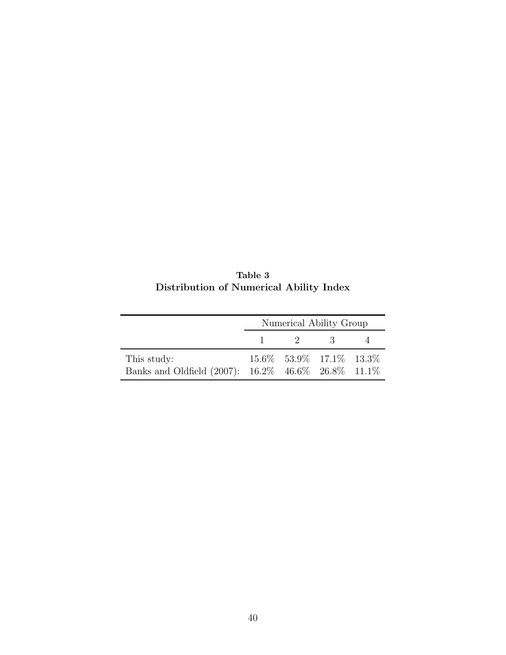Table 3 Distribution of Numerical Ability Index

|                                                                      | Numerical Ability Group         |  |                             |  |  |  |  |
|----------------------------------------------------------------------|---------------------------------|--|-----------------------------|--|--|--|--|
|                                                                      | $\overline{2}$<br>$\mathcal{R}$ |  |                             |  |  |  |  |
| This study:<br>Banks and Oldfield (2007): $16.2\%$ 46.6% 26.8% 11.1% |                                 |  | 15.6\% 53.9\% 17.1\% 13.3\% |  |  |  |  |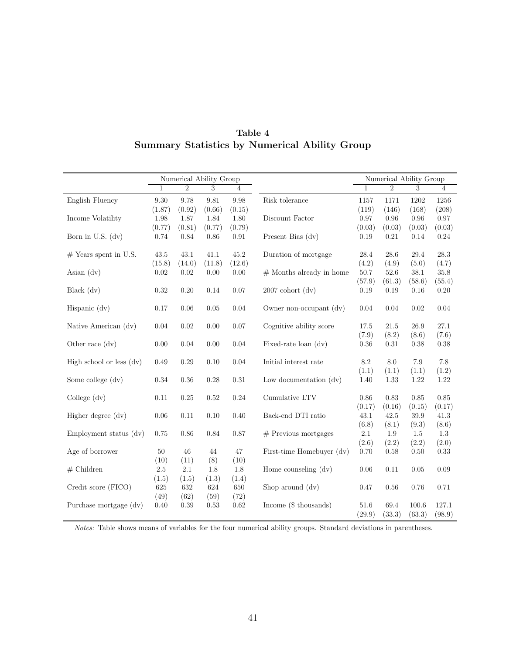|                            |         | Numerical Ability Group |          |            |                           | Numerical Ability Group |                |          |          |
|----------------------------|---------|-------------------------|----------|------------|---------------------------|-------------------------|----------------|----------|----------|
|                            | 1       | $\overline{2}$          | 3        | 4          |                           | 1                       | $\overline{2}$ | 3        | 4        |
| English Fluency            | 9.30    | 9.78                    | 9.81     | 9.98       | Risk tolerance            | 1157                    | 1171           | 1202     | 1256     |
|                            | (1.87)  | (0.92)                  | (0.66)   | (0.15)     |                           | (119)                   | (146)          | (168)    | (208)    |
| Income Volatility          | 1.98    | 1.87                    | 1.84     | 1.80       | Discount Factor           | 0.97                    | 0.96           | 0.96     | 0.97     |
|                            | (0.77)  | (0.81)                  | (0.77)   | (0.79)     |                           | (0.03)                  | (0.03)         | (0.03)   | (0.03)   |
| Born in U.S. (dv)          | 0.74    | 0.84                    | 0.86     | $\rm 0.91$ | Present Bias (dv)         | 0.19                    | $\rm 0.21$     | 0.14     | 0.24     |
| $#$ Years spent in U.S.    | 43.5    | 43.1                    | 41.1     | 45.2       | Duration of mortgage      | $28.4\,$                | 28.6           | 29.4     | $28.3\,$ |
|                            | (15.8)  | (14.0)                  | (11.8)   | (12.6)     |                           | (4.2)                   | (4.9)          | (5.0)    | (4.7)    |
| Asian $(dv)$               | 0.02    | 0.02                    | 0.00     | 0.00       | # Months already in home  | $50.7\,$                | $52.6\,$       | 38.1     | 35.8     |
|                            |         |                         |          |            |                           | (57.9)                  | (61.3)         | (58.6)   | (55.4)   |
| Black $(dv)$               | 0.32    | 0.20                    | 0.14     | 0.07       | $2007$ cohort $(dv)$      | 0.19                    | 0.19           | 0.16     | 0.20     |
| Hispanic (dv)              | 0.17    | 0.06                    | 0.05     | $0.04\,$   | Owner non-occupant $(dv)$ | 0.04                    | 0.04           | $0.02\,$ | $0.04\,$ |
| Native American (dv)       | 0.04    | 0.02                    | 0.00     | 0.07       | Cognitive ability score   | 17.5                    | 21.5           | 26.9     | 27.1     |
|                            |         |                         |          |            |                           | (7.9)                   | (8.2)          | (8.6)    | (7.6)    |
| Other race (dv)            | 0.00    | 0.04                    | 0.00     | $0.04\,$   | Fixed-rate loan (dv)      | $0.36\,$                | 0.31           | 0.38     | $0.38\,$ |
| High school or less $(dv)$ | 0.49    | 0.29                    | 0.10     | 0.04       | Initial interest rate     | 8.2                     | 8.0            | 7.9      | 7.8      |
|                            |         |                         |          |            |                           | (1.1)                   | (1.1)          | (1.1)    | (1.2)    |
| Some college (dv)          | 0.34    | 0.36                    | $0.28\,$ | $\rm 0.31$ | Low documentation $(dv)$  | 1.40                    | 1.33           | $1.22\,$ | 1.22     |
| College $(dv)$             | 0.11    | 0.25                    | 0.52     | 0.24       | Cumulative LTV            | 0.86                    | 0.83           | 0.85     | 0.85     |
|                            |         |                         |          |            |                           | (0.17)                  | (0.16)         | (0.15)   | (0.17)   |
| Higher degree $(dv)$       | 0.06    | 0.11                    | 0.10     | 0.40       | Back-end DTI ratio        | 43.1                    | 42.5           | 39.9     | 41.3     |
|                            |         |                         |          |            |                           | (6.8)                   | (8.1)          | (9.3)    | (8.6)    |
| Employment status (dv)     | 0.75    | 0.86                    | 0.84     | 0.87       | $#$ Previous mortgages    | 2.1                     | 1.9            | 1.5      | 1.3      |
|                            |         |                         |          |            |                           | (2.6)                   | (2.2)          | (2.2)    | (2.0)    |
| Age of borrower            | 50      | 46                      | 44       | 47         | First-time Homebuyer (dv) | 0.70                    | 0.58           | 0.50     | 0.33     |
|                            | (10)    | (11)                    | (8)      | (10)       |                           |                         |                |          |          |
| $#$ Children               | $2.5\,$ | 2.1                     | 1.8      | 1.8        | Home counseling (dv)      | 0.06                    | 0.11           | 0.05     | 0.09     |
|                            | (1.5)   | (1.5)                   | (1.3)    | (1.4)      |                           |                         |                |          |          |
| Credit score (FICO)        | 625     | 632                     | 624      | 650        | Shop around (dv)          | 0.47                    | 0.56           | 0.76     | 0.71     |
|                            | (49)    | (62)                    | (59)     | (72)       |                           |                         |                |          |          |
| Purchase mortgage (dv)     | 0.40    | 0.39                    | 0.53     | 0.62       | Income $($$ thousands)    | 51.6                    | 69.4           | 100.6    | 127.1    |
|                            |         |                         |          |            |                           | (29.9)                  | (33.3)         | (63.3)   | (98.9)   |

Table 4 Summary Statistics by Numerical Ability Group

*Notes:* Table shows means of variables for the four numerical ability groups. Standard deviations in parentheses.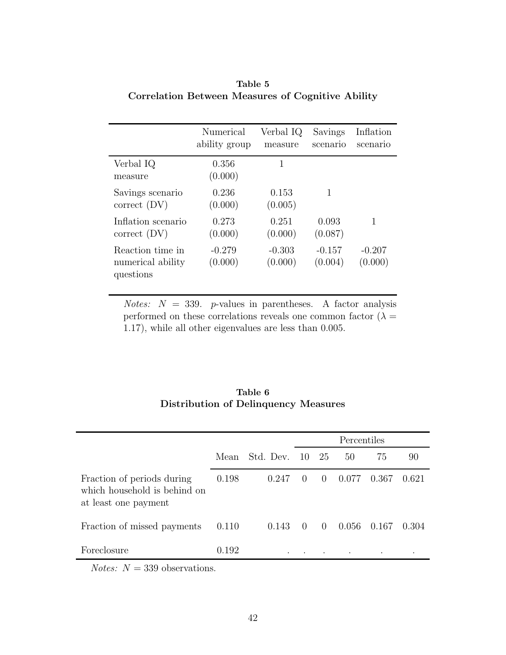|                                                    | Numerical<br>ability group | Verbal IQ<br>measure | Savings<br>scenario | Inflation<br>scenario |
|----------------------------------------------------|----------------------------|----------------------|---------------------|-----------------------|
| Verbal IQ<br>measure                               | 0.356<br>(0.000)           | 1                    |                     |                       |
| Savings scenario<br>correct(DV)                    | 0.236<br>(0.000)           | 0.153<br>(0.005)     |                     |                       |
| Inflation scenario<br>correct(DV)                  | 0.273<br>(0.000)           | 0.251<br>(0.000)     | 0.093<br>(0.087)    | 1                     |
| Reaction time in<br>numerical ability<br>questions | $-0.279$<br>(0.000)        | $-0.303$<br>(0.000)  | $-0.157$<br>(0.004) | $-0.207$<br>(0.000)   |

Table 5 Correlation Between Measures of Cognitive Ability

*Notes:*  $N = 339$ . *p*-values in parentheses. A factor analysis performed on these correlations reveals one common factor ( $\lambda =$ 1.17), while all other eigenvalues are less than 0.005.

| Table 6                              |  |
|--------------------------------------|--|
| Distribution of Delinquency Measures |  |

|                                                                                    |       |                 | Percentiles      |                |       |       |       |
|------------------------------------------------------------------------------------|-------|-----------------|------------------|----------------|-------|-------|-------|
|                                                                                    | Mean  | Std. Dev. 10 25 |                  |                | 50    | 75    | 90    |
| Fraction of periods during<br>which household is behind on<br>at least one payment | 0.198 | 0.247           | $\left( \right)$ | $\overline{0}$ | 0.077 | 0.367 | 0.621 |
| Fraction of missed payments                                                        | 0.110 | 0.143           | $\bigcup$        | $\overline{0}$ | 0.056 | 0.167 | 0.304 |
| Foreclosure                                                                        | 0.192 | ٠               |                  |                |       |       |       |

*Notes:*  $N = 339$  observations.

J.

j.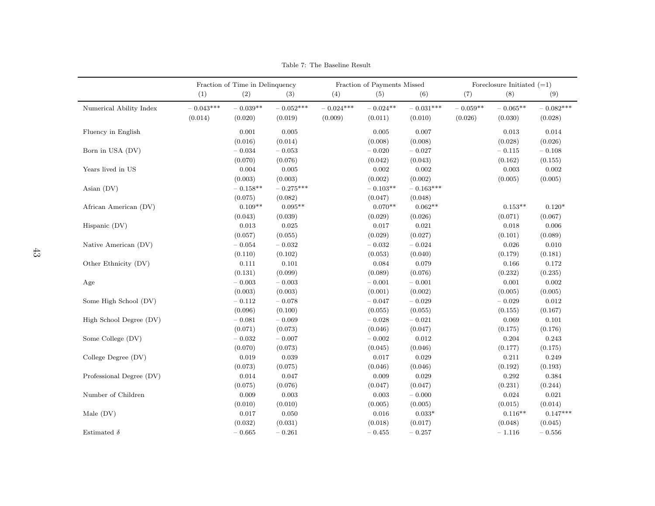|                          |             | Fraction of Time in Delinquency |             | Fraction of Payments Missed |            |             | Foreclosure Initiated $(=1)$ |            |             |
|--------------------------|-------------|---------------------------------|-------------|-----------------------------|------------|-------------|------------------------------|------------|-------------|
|                          | (1)         | (2)                             | (3)         | (4)                         | (5)        | (6)         | (7)                          | (8)        | (9)         |
| Numerical Ability Index  | $-0.043***$ | $-0.039**$                      | $-0.052***$ | $-0.024***$                 | $-0.024**$ | $-0.031***$ | $-0.059**$                   | $-0.065**$ | $-0.082***$ |
|                          | (0.014)     | (0.020)                         | (0.019)     | (0.009)                     | (0.011)    | (0.010)     | (0.026)                      | (0.030)    | (0.028)     |
| Fluency in English       |             | 0.001                           | 0.005       |                             | 0.005      | 0.007       |                              | 0.013      | 0.014       |
|                          |             | (0.016)                         | (0.014)     |                             | (0.008)    | (0.008)     |                              | (0.028)    | (0.026)     |
| Born in USA (DV)         |             | $-0.034$                        | $-0.053$    |                             | $-0.020$   | $-0.027$    |                              | $-0.115$   | $-0.108$    |
|                          |             | (0.070)                         | (0.076)     |                             | (0.042)    | (0.043)     |                              | (0.162)    | (0.155)     |
| Years lived in US        |             | 0.004                           | 0.005       |                             | 0.002      | 0.002       |                              | 0.003      | 0.002       |
|                          |             | (0.003)                         | (0.003)     |                             | (0.002)    | (0.002)     |                              | (0.005)    | (0.005)     |
| Asian $(DV)$             |             | $-0.158**$                      | $-0.275***$ |                             | $-0.103**$ | $-0.163***$ |                              |            |             |
|                          |             | (0.075)                         | (0.082)     |                             | (0.047)    | (0.048)     |                              |            |             |
| African American (DV)    |             | $0.109**$                       | $0.095**$   |                             | $0.070**$  | $0.062**$   |                              | $0.153**$  | $0.120*$    |
|                          |             | (0.043)                         | (0.039)     |                             | (0.029)    | (0.026)     |                              | (0.071)    | (0.067)     |
| Hispanic (DV)            |             | 0.013                           | 0.025       |                             | 0.017      | 0.021       |                              | 0.018      | 0.006       |
|                          |             | (0.057)                         | (0.055)     |                             | (0.029)    | (0.027)     |                              | (0.101)    | (0.089)     |
| Native American (DV)     |             | $-0.054$                        | $-0.032$    |                             | $-0.032$   | $-0.024$    |                              | 0.026      | $0.010\,$   |
|                          |             | (0.110)                         | (0.102)     |                             | (0.053)    | (0.040)     |                              | (0.179)    | (0.181)     |
| Other Ethnicity (DV)     |             | 0.111                           | 0.101       |                             | 0.084      | 0.079       |                              | 0.166      | 0.172       |
|                          |             | (0.131)                         | (0.099)     |                             | (0.089)    | (0.076)     |                              | (0.232)    | (0.235)     |
| Age                      |             | $-0.003$                        | $-0.003$    |                             | $-0.001$   | $-0.001$    |                              | 0.001      | 0.002       |
|                          |             | (0.003)                         | (0.003)     |                             | (0.001)    | (0.002)     |                              | (0.005)    | (0.005)     |
| Some High School (DV)    |             | $-0.112$                        | $-0.078$    |                             | $-0.047$   | $-0.029$    |                              | $-0.029$   | 0.012       |
|                          |             | (0.096)                         | (0.100)     |                             | (0.055)    | (0.055)     |                              | (0.155)    | (0.167)     |
| High School Degree (DV)  |             | $-0.081$                        | $-0.069$    |                             | $-0.028$   | $-0.021$    |                              | 0.069      | 0.101       |
|                          |             | (0.071)                         | (0.073)     |                             | (0.046)    | (0.047)     |                              | (0.175)    | (0.176)     |
| Some College (DV)        |             | $-0.032$                        | $-0.007$    |                             | $-0.002$   | 0.012       |                              | 0.204      | 0.243       |
|                          |             | (0.070)                         | (0.073)     |                             | (0.045)    | (0.046)     |                              | (0.177)    | (0.175)     |
| College Degree (DV)      |             | 0.019                           | 0.039       |                             | 0.017      | 0.029       |                              | 0.211      | 0.249       |
|                          |             | (0.073)                         | (0.075)     |                             | (0.046)    | (0.046)     |                              | (0.192)    | (0.193)     |
| Professional Degree (DV) |             | 0.014                           | 0.047       |                             | 0.009      | 0.029       |                              | 0.292      | 0.384       |
|                          |             | (0.075)                         | (0.076)     |                             | (0.047)    | (0.047)     |                              | (0.231)    | (0.244)     |
| Number of Children       |             | $\,0.009\,$                     | 0.003       |                             | 0.003      | $-0.000$    |                              | 0.024      | $\,0.021\,$ |
|                          |             | (0.010)                         | (0.010)     |                             | (0.005)    | (0.005)     |                              | (0.015)    | (0.014)     |
| Male $(DV)$              |             | 0.017                           | 0.050       |                             | 0.016      | $0.033*$    |                              | $0.116**$  | $0.147***$  |
|                          |             | (0.032)                         | (0.031)     |                             | (0.018)    | (0.017)     |                              | (0.048)    | (0.045)     |
| Estimated $\delta$       |             | $-0.665$                        | $-0.261$    |                             | $-0.455$   | $-0.257$    |                              | $-1.116$   | $-0.556$    |

Table 7: The Baseline Result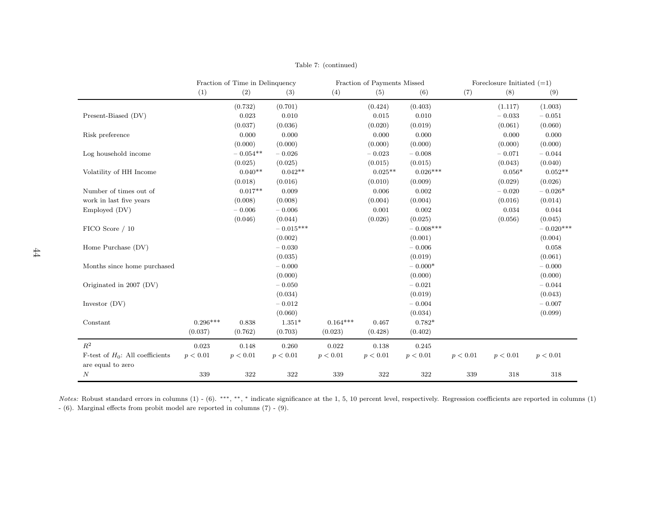|                                    |            | Fraction of Time in Delinquency |             |            | Fraction of Payments Missed | Foreclosure Initiated $(=1)$ |          |          |             |  |
|------------------------------------|------------|---------------------------------|-------------|------------|-----------------------------|------------------------------|----------|----------|-------------|--|
|                                    | (1)        | (2)                             | (3)         | (4)        | (5)                         | (6)                          | (7)      | (8)      | (9)         |  |
|                                    |            | (0.732)                         | (0.701)     |            | (0.424)                     | (0.403)                      |          | (1.117)  | (1.003)     |  |
| Present-Biased (DV)                |            | 0.023                           | 0.010       |            | 0.015                       | 0.010                        |          | $-0.033$ | $-0.051$    |  |
|                                    |            | (0.037)                         | (0.036)     |            | (0.020)                     | (0.019)                      |          | (0.061)  | (0.060)     |  |
| Risk preference                    |            | 0.000                           | 0.000       |            | 0.000                       | 0.000                        |          | 0.000    | 0.000       |  |
|                                    |            | (0.000)                         | (0.000)     |            | (0.000)                     | (0.000)                      |          | (0.000)  | (0.000)     |  |
| Log household income               |            | $-0.054**$                      | $-0.026$    |            | $-0.023$                    | $-0.008$                     |          | $-0.071$ | $-0.044$    |  |
|                                    |            | (0.025)                         | (0.025)     |            | (0.015)                     | (0.015)                      |          | (0.043)  | (0.040)     |  |
| Volatility of HH Income            |            | $0.040**$                       | $0.042**$   |            | $0.025**$                   | $0.026***$                   |          | $0.056*$ | $0.052**$   |  |
|                                    |            | (0.018)                         | (0.016)     |            | (0.010)                     | (0.009)                      |          | (0.029)  | (0.026)     |  |
| Number of times out of             |            | $0.017**$                       | 0.009       |            | 0.006                       | 0.002                        |          | $-0.020$ | $-0.026*$   |  |
| work in last five years            |            | (0.008)                         | (0.008)     |            | (0.004)                     | (0.004)                      |          | (0.016)  | (0.014)     |  |
| Employed (DV)                      |            | $-0.006$                        | $-0.006$    |            | 0.001                       | 0.002                        |          | 0.034    | 0.044       |  |
|                                    |            | (0.046)                         | (0.044)     |            | (0.026)                     | (0.025)                      |          | (0.056)  | (0.045)     |  |
| FICO Score $/ 10$                  |            |                                 | $-0.015***$ |            |                             | $-0.008***$                  |          |          | $-0.020***$ |  |
|                                    |            |                                 | (0.002)     |            |                             | (0.001)                      |          |          | (0.004)     |  |
| Home Purchase (DV)                 |            |                                 | $-0.030$    |            |                             | $-0.006$                     |          |          | 0.058       |  |
|                                    |            |                                 | (0.035)     |            |                             | (0.019)                      |          |          | (0.061)     |  |
| Months since home purchased        |            |                                 | $-0.000$    |            |                             | $-0.000*$                    |          |          | $-0.000$    |  |
|                                    |            |                                 | (0.000)     |            |                             | (0.000)                      |          |          | (0.000)     |  |
| Originated in 2007 (DV)            |            |                                 | $-0.050$    |            |                             | $-0.021$                     |          |          | $-0.044$    |  |
|                                    |            |                                 | (0.034)     |            |                             | (0.019)                      |          |          | (0.043)     |  |
| Investor (DV)                      |            |                                 | $-0.012$    |            |                             | $-0.004$                     |          |          | $-0.007$    |  |
|                                    |            |                                 | (0.060)     |            |                             | (0.034)                      |          |          | (0.099)     |  |
| Constant                           | $0.296***$ | 0.838                           | $1.351*$    | $0.164***$ | 0.467                       | $0.782*$                     |          |          |             |  |
|                                    | (0.037)    | (0.762)                         | (0.703)     | (0.023)    | (0.428)                     | (0.402)                      |          |          |             |  |
| $R^2$                              | 0.023      | 0.148                           | 0.260       | 0.022      | 0.138                       | 0.245                        |          |          |             |  |
| F-test of $H_0$ : All coefficients | p < 0.01   | p < 0.01                        | p < 0.01    | p < 0.01   | p < 0.01                    | p < 0.01                     | p < 0.01 | p < 0.01 | p < 0.01    |  |
| are equal to zero                  |            |                                 |             |            |                             |                              |          |          |             |  |
| $\boldsymbol{N}$                   | 339        | 322                             | 322         | 339        | 322                         | $322\,$                      | 339      | 318      | 318         |  |

Table 7: (continued)

*Notes:* Robust standard errors in columns (1) - (6). \*\*\*, \*\*, \* indicate significance at the 1, 5, 10 percent level, respectively. Regression coefficients are reported in columns (1) - (6). Marginal effects from probit model are reported in columns (7) - (9).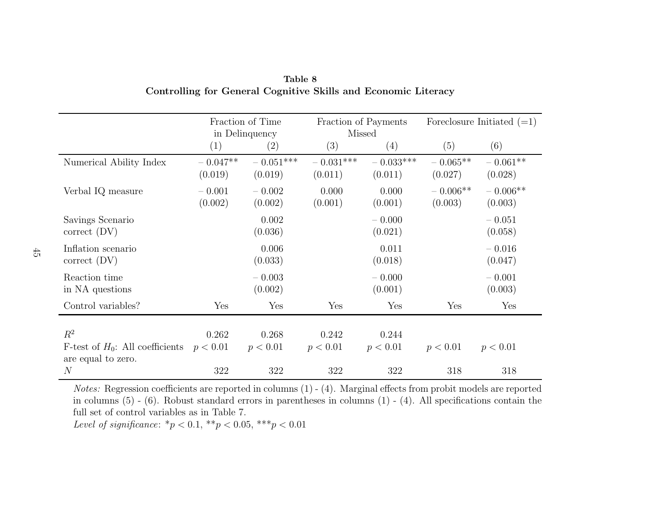|                                                                   | Fraction of Time<br>in Delinquency |                        |                        | Fraction of Payments<br>Missed | Foreclosure Initiated $(=1)$ |                       |
|-------------------------------------------------------------------|------------------------------------|------------------------|------------------------|--------------------------------|------------------------------|-----------------------|
|                                                                   | (1)                                | (2)                    | (3)                    | (4)                            | (5)                          | (6)                   |
| Numerical Ability Index                                           | $-0.047**$<br>(0.019)              | $-0.051***$<br>(0.019) | $-0.031***$<br>(0.011) | $-0.033***$<br>(0.011)         | $-0.065**$<br>(0.027)        | $-0.061**$<br>(0.028) |
| Verbal IQ measure                                                 | $-0.001$<br>(0.002)                | $-0.002$<br>(0.002)    | 0.000<br>(0.001)       | 0.000<br>(0.001)               | $-0.006**$<br>(0.003)        | $-0.006**$<br>(0.003) |
| Savings Scenario<br>correct(DV)                                   |                                    | 0.002<br>(0.036)       |                        | $-0.000$<br>(0.021)            |                              | $-0.051$<br>(0.058)   |
| Inflation scenario<br>correct(DV)                                 |                                    | 0.006<br>(0.033)       |                        | 0.011<br>(0.018)               |                              | $-0.016$<br>(0.047)   |
| Reaction time<br>in NA questions                                  |                                    | $-0.003$<br>(0.002)    |                        | $-0.000$<br>(0.001)            |                              | $-0.001$<br>(0.003)   |
| Control variables?                                                | Yes                                | Yes                    | Yes                    | Yes                            | Yes                          | Yes                   |
| $R^2$<br>F-test of $H_0$ : All coefficients<br>are equal to zero. | 0.262<br>p < 0.01                  | 0.268<br>p < 0.01      | 0.242<br>p < 0.01      | 0.244<br>p < 0.01              | p < 0.01                     | p < 0.01              |
| N                                                                 | 322                                | 322                    | 322                    | 322                            | 318                          | 318                   |

Table <sup>8</sup>Controlling for General Cognitive Skills and Economic Literacy

*Notes:* Regression coefficients are reported in columns (1) - (4). Marginal effects from probit models are reported in columns (5) - (6). Robust standard errors in parentheses in columns (1) - (4). All specifications contain thefull set of control variables as in Table 7.

*Level* of significance:  $^*p < 0.1$ ,  $^{**}p < 0.05$ ,  $^{***}p < 0.01$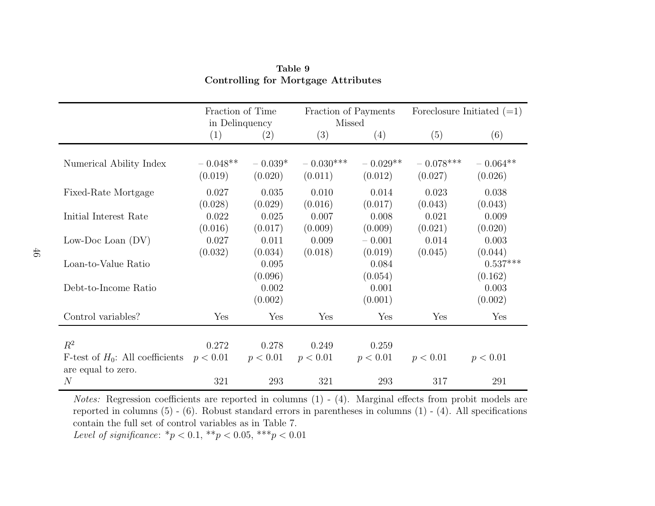|                                                        | Fraction of Time<br>in Delinquency |                      | Fraction of Payments<br>Missed |                       |                        | Foreclosure Initiated $(=1)$ |
|--------------------------------------------------------|------------------------------------|----------------------|--------------------------------|-----------------------|------------------------|------------------------------|
|                                                        | (1)                                | (2)                  | (3)                            | (4)                   | (5)                    | (6)                          |
| Numerical Ability Index                                | $-0.048**$<br>(0.019)              | $-0.039*$<br>(0.020) | $-0.030***$<br>(0.011)         | $-0.029**$<br>(0.012) | $-0.078***$<br>(0.027) | $-0.064**$<br>(0.026)        |
| Fixed-Rate Mortgage                                    | 0.027<br>(0.028)                   | 0.035<br>(0.029)     | 0.010<br>(0.016)               | 0.014<br>(0.017)      | 0.023<br>(0.043)       | 0.038<br>(0.043)             |
| Initial Interest Rate                                  | 0.022<br>(0.016)                   | 0.025<br>(0.017)     | 0.007<br>(0.009)               | 0.008<br>(0.009)      | 0.021<br>(0.021)       | 0.009<br>(0.020)             |
| Low-Doc Loan $(DV)$                                    | 0.027<br>(0.032)                   | 0.011<br>(0.034)     | 0.009<br>(0.018)               | $-0.001$<br>(0.019)   | 0.014<br>(0.045)       | 0.003<br>(0.044)             |
| Loan-to-Value Ratio                                    |                                    | 0.095<br>(0.096)     |                                | 0.084<br>(0.054)      |                        | $0.537***$<br>(0.162)        |
| Debt-to-Income Ratio                                   |                                    | 0.002<br>(0.002)     |                                | 0.001<br>(0.001)      |                        | 0.003<br>(0.002)             |
| Control variables?                                     | Yes                                | Yes                  | Yes                            | Yes                   | Yes                    | Yes                          |
| $R^2$<br>F-test of $H_0$ : All coefficients $p < 0.01$ | 0.272                              | 0.278<br>p < 0.01    | 0.249<br>p < 0.01              | 0.259<br>p < 0.01     | p < 0.01               | p < 0.01                     |
| are equal to zero.<br>$\overline{N}$                   | 321                                | 293                  | 321                            | 293                   | 317                    | 291                          |

Table <sup>9</sup>Controlling for Mortgage Attributes

*Notes:* Regression coefficients are reported in columns (1) - (4). Marginal effects from probit models are reported in columns (5) - (6). Robust standard errors in parentheses in columns (1) - (4). All specificationscontain the full set of control variables as in Table 7.

*Level* of significance:  $^*p < 0.1$ ,  $^{**}p < 0.05$ ,  $^{***}p < 0.01$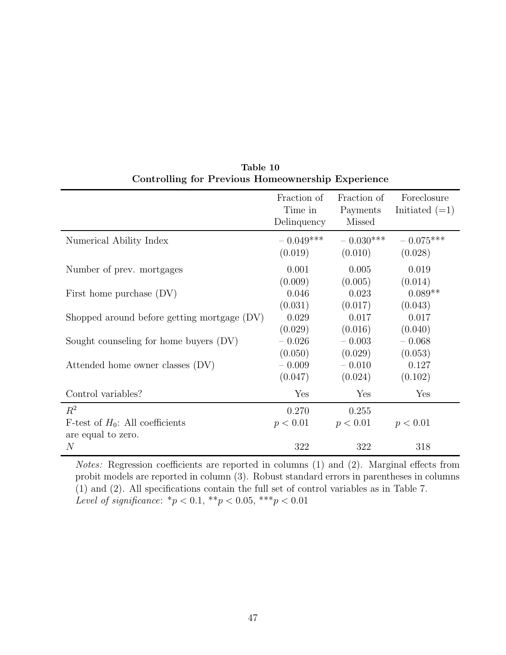|                                             | Fraction of<br>Time in<br>Delinquency | Fraction of<br>Payments<br>Missed | Foreclosure<br>Initiated $(=1)$ |
|---------------------------------------------|---------------------------------------|-----------------------------------|---------------------------------|
| Numerical Ability Index                     | $-0.049***$<br>(0.019)                | $-0.030***$<br>(0.010)            | $-0.075***$<br>(0.028)          |
| Number of prev. mortgages                   | 0.001                                 | 0.005                             | 0.019                           |
|                                             | (0.009)                               | (0.005)                           | (0.014)                         |
| First home purchase (DV)                    | 0.046                                 | 0.023                             | $0.089**$                       |
|                                             | (0.031)                               | (0.017)                           | (0.043)                         |
| Shopped around before getting mortgage (DV) | 0.029                                 | 0.017                             | 0.017                           |
|                                             | (0.029)                               | (0.016)                           | (0.040)                         |
| Sought counseling for home buyers (DV)      | $-0.026$                              | $-0.003$                          | $-0.068$                        |
|                                             | (0.050)                               | (0.029)                           | (0.053)                         |
| Attended home owner classes (DV)            | $-0.009$                              | $-0.010$                          | 0.127                           |
|                                             | (0.047)                               | (0.024)                           | (0.102)                         |
| Control variables?                          | Yes                                   | Yes                               | Yes                             |
| $R^2$                                       | 0.270                                 | 0.255                             |                                 |
| F-test of $H_0$ : All coefficients          | p < 0.01                              | p < 0.01                          | p < 0.01                        |
| are equal to zero.                          |                                       |                                   |                                 |
| $\mathcal N$                                | 322                                   | 322                               | 318                             |
|                                             |                                       |                                   |                                 |

Table 10 Controlling for Previous Homeownership Experience

*Notes:* Regression coefficients are reported in columns (1) and (2). Marginal effects from probit models are reported in column (3). Robust standard errors in parentheses in columns (1) and (2). All specifications contain the full set of control variables as in Table 7. *Level of significance*:  $*_{p} < 0.1, **_{p} < 0.05, **_{p} < 0.01$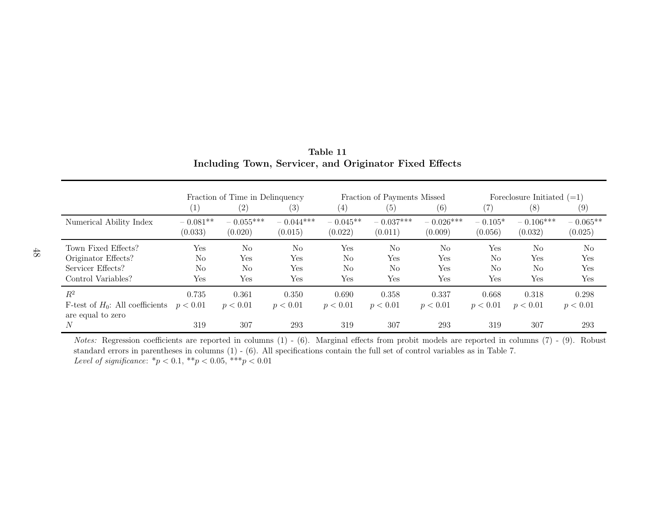|                                                                                       | Fraction of Time in Delinquency    |                                                |                          | Fraction of Payments Missed |                                                |                          | Foreclosure Initiated $(=1)$                   |                                                |                                     |
|---------------------------------------------------------------------------------------|------------------------------------|------------------------------------------------|--------------------------|-----------------------------|------------------------------------------------|--------------------------|------------------------------------------------|------------------------------------------------|-------------------------------------|
|                                                                                       | (1)                                | (2)                                            | $\left( 3\right)$        | (4)                         | (5)                                            | (6)                      | (7)                                            | (8)                                            | (9)                                 |
| Numerical Ability Index                                                               | $-0.081**$<br>(0.033)              | $-0.055***$<br>(0.020)                         | $-0.044***$<br>(0.015)   | $-0.045**$<br>(0.022)       | $-0.037***$<br>(0.011)                         | $-0.026***$<br>(0.009)   | $-0.105*$<br>(0.056)                           | $-0.106***$<br>(0.032)                         | $-0.065**$<br>(0.025)               |
| Town Fixed Effects?<br>Originator Effects?<br>Servicer Effects?<br>Control Variables? | Yes<br>N <sub>0</sub><br>No<br>Yes | N <sub>o</sub><br>Yes<br>N <sub>o</sub><br>Yes | No<br>Yes<br>Yes<br>Yes  | Yes<br>No<br>No<br>Yes      | N <sub>o</sub><br>Yes<br>N <sub>o</sub><br>Yes | No<br>Yes<br>Yes<br>Yes  | Yes<br>N <sub>0</sub><br>N <sub>o</sub><br>Yes | N <sub>o</sub><br>Yes<br>N <sub>0</sub><br>Yes | N <sub>o</sub><br>Yes<br>Yes<br>Yes |
| $R^2$<br>F-test of $H_0$ : All coefficients<br>are equal to zero<br>N                 | 0.735<br>p < 0.01<br>319           | 0.361<br>p < 0.01<br>307                       | 0.350<br>p < 0.01<br>293 | 0.690<br>p < 0.01<br>319    | 0.358<br>p < 0.01<br>307                       | 0.337<br>p < 0.01<br>293 | 0.668<br>p < 0.01<br>319                       | 0.318<br>p < 0.01<br>307                       | 0.298<br>p < 0.01<br>293            |

Table <sup>11</sup>Including Town, Servicer, and Originator Fixed Effects

*Notes:* Regression coefficients are reported in columns (1) - (6). Marginal effects from probit models are reported in columns (7) - (9). Robuststandard errors in parentheses in columns (1) - (6). All specifications contain the full set of control variables as in Table 7. *Level* of significance:  $^*p < 0.1$ ,  $^{**}p < 0.05$ ,  $^{***}p < 0.01$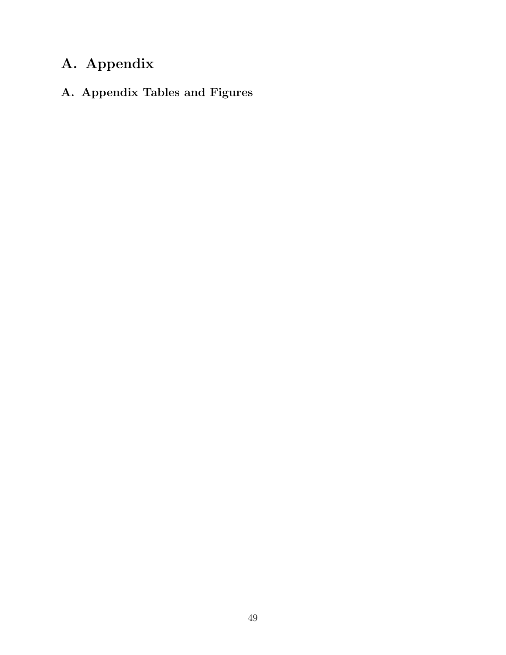# A. Appendix

# A. Appendix Tables and Figures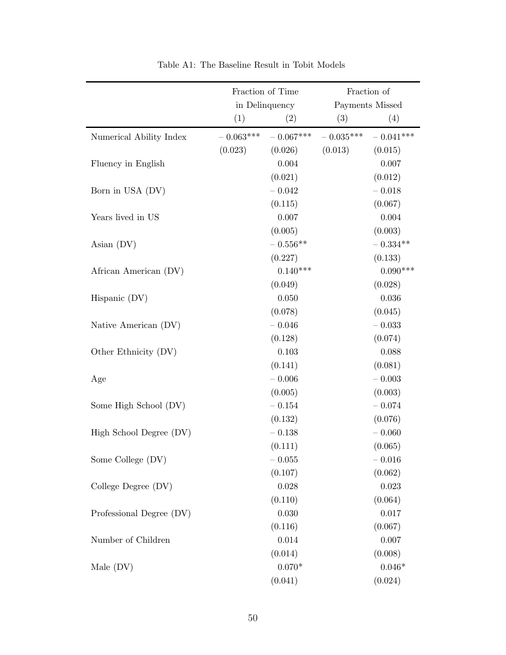|                          |             | Fraction of Time | Fraction of |                 |  |
|--------------------------|-------------|------------------|-------------|-----------------|--|
|                          |             | in Delinquency   |             | Payments Missed |  |
|                          | (1)         | (2)              | (3)         | (4)             |  |
| Numerical Ability Index  | $-0.063***$ | $-0.067***$      | $-0.035***$ | $-0.041***$     |  |
|                          | (0.023)     | (0.026)          | (0.013)     | (0.015)         |  |
| Fluency in English       |             | 0.004            |             | 0.007           |  |
|                          |             | (0.021)          |             | (0.012)         |  |
| Born in USA (DV)         |             | $-0.042$         |             | $-0.018$        |  |
|                          |             | (0.115)          |             | (0.067)         |  |
| Years lived in US        |             | 0.007            |             | 0.004           |  |
|                          |             | (0.005)          |             | (0.003)         |  |
| Asian $(DV)$             |             | $-0.556**$       |             | $-0.334**$      |  |
|                          |             | (0.227)          |             | (0.133)         |  |
| African American (DV)    |             | $0.140***$       |             | $0.090***$      |  |
|                          |             | (0.049)          |             | (0.028)         |  |
| Hispanic $(DV)$          |             | 0.050            |             | 0.036           |  |
|                          |             | (0.078)          |             | (0.045)         |  |
| Native American (DV)     |             | $-0.046$         |             | $-0.033$        |  |
|                          |             | (0.128)          |             | (0.074)         |  |
| Other Ethnicity (DV)     |             | 0.103            |             | 0.088           |  |
|                          |             | (0.141)          |             | (0.081)         |  |
| Age                      |             | $-0.006$         |             | $-0.003$        |  |
|                          |             | (0.005)          |             | (0.003)         |  |
| Some High School (DV)    |             | $-0.154$         |             | $-0.074$        |  |
|                          |             | (0.132)          |             | (0.076)         |  |
| High School Degree (DV)  |             | $-0.138$         |             | $-0.060$        |  |
|                          |             | (0.111)          |             | (0.065)         |  |
| Some College (DV)        |             | $-0.055$         |             | $-0.016$        |  |
|                          |             | (0.107)          |             | (0.062)         |  |
| College Degree (DV)      |             | 0.028            |             | 0.023           |  |
|                          |             | (0.110)          |             | (0.064)         |  |
| Professional Degree (DV) |             | 0.030            |             | 0.017           |  |
|                          |             | (0.116)          |             | (0.067)         |  |
| Number of Children       |             | 0.014            |             | 0.007           |  |
|                          |             | (0.014)          |             | (0.008)         |  |
| Male $(DV)$              |             | $0.070*$         |             | $0.046*$        |  |
|                          |             | (0.041)          |             | (0.024)         |  |

Table A1: The Baseline Result in Tobit Models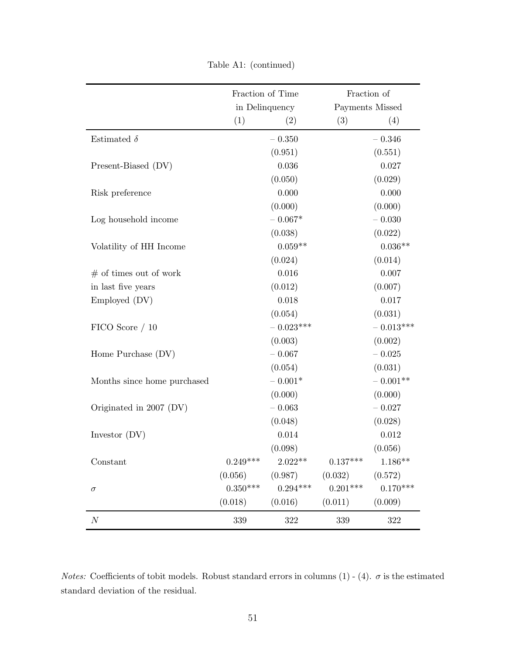|                             |            | Fraction of Time |            | Fraction of     |  |  |
|-----------------------------|------------|------------------|------------|-----------------|--|--|
|                             |            | in Delinquency   |            | Payments Missed |  |  |
|                             | (1)        | (2)              | (3)        | (4)             |  |  |
| Estimated $\delta$          |            | $-0.350$         |            | $-0.346$        |  |  |
|                             |            | (0.951)          |            | (0.551)         |  |  |
| Present-Biased (DV)         |            | 0.036            |            | 0.027           |  |  |
|                             |            | (0.050)          |            | (0.029)         |  |  |
| Risk preference             |            | 0.000            |            | 0.000           |  |  |
|                             |            | (0.000)          |            | (0.000)         |  |  |
| Log household income        |            | $-0.067*$        |            | $-0.030$        |  |  |
|                             |            | (0.038)          |            | (0.022)         |  |  |
| Volatility of HH Income     |            | $0.059**$        |            | $0.036**$       |  |  |
|                             |            | (0.024)          |            | (0.014)         |  |  |
| $\#$ of times out of work   |            | 0.016            |            | 0.007           |  |  |
| in last five years          |            | (0.012)          |            | (0.007)         |  |  |
| Employed (DV)               |            | 0.018            |            | 0.017           |  |  |
|                             |            | (0.054)          |            | (0.031)         |  |  |
| FICO Score $/ 10$           |            | $-0.023***$      |            | $-0.013***$     |  |  |
|                             |            | (0.003)          |            | (0.002)         |  |  |
| Home Purchase (DV)          |            | $-0.067$         |            | $-0.025$        |  |  |
|                             |            | (0.054)          |            | (0.031)         |  |  |
| Months since home purchased |            | $-0.001*$        |            | $-0.001**$      |  |  |
|                             |            | (0.000)          |            | (0.000)         |  |  |
| Originated in 2007 (DV)     |            | $-0.063$         |            | $-0.027$        |  |  |
|                             |            | (0.048)          |            | (0.028)         |  |  |
| Investor $(DV)$             |            | 0.014            |            | 0.012           |  |  |
|                             |            | (0.098)          |            | (0.056)         |  |  |
| Constant                    | $0.249***$ | $2.022**$        | $0.137***$ | $1.186**$       |  |  |
|                             | (0.056)    | (0.987)          | (0.032)    | (0.572)         |  |  |
| $\sigma$                    | $0.350***$ | $0.294***$       | $0.201***$ | $0.170***$      |  |  |
|                             | (0.018)    | (0.016)          | (0.011)    | (0.009)         |  |  |
| $\boldsymbol{N}$            | 339        | 322              | 339        | 322             |  |  |

Table A1: (continued)

*Notes:* Coefficients of tobit models. Robust standard errors in columns (1) - (4).  $\sigma$  is the estimated standard deviation of the residual.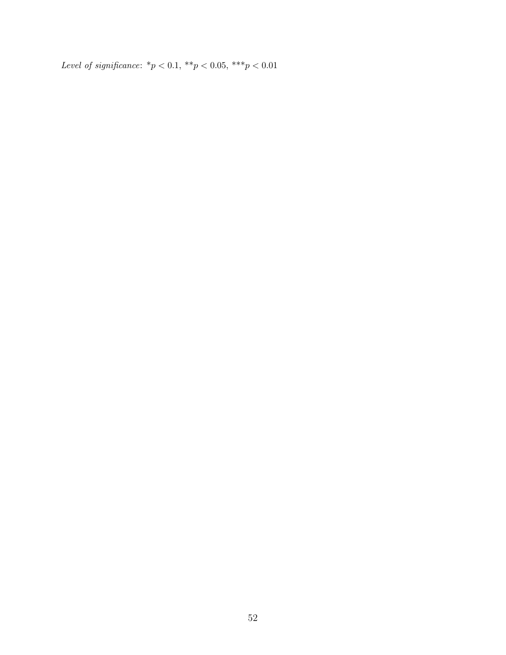Level of significance:  $*_p$  < 0.1,  $*_p$  < 0.05,  $^{***}p$  < 0.01